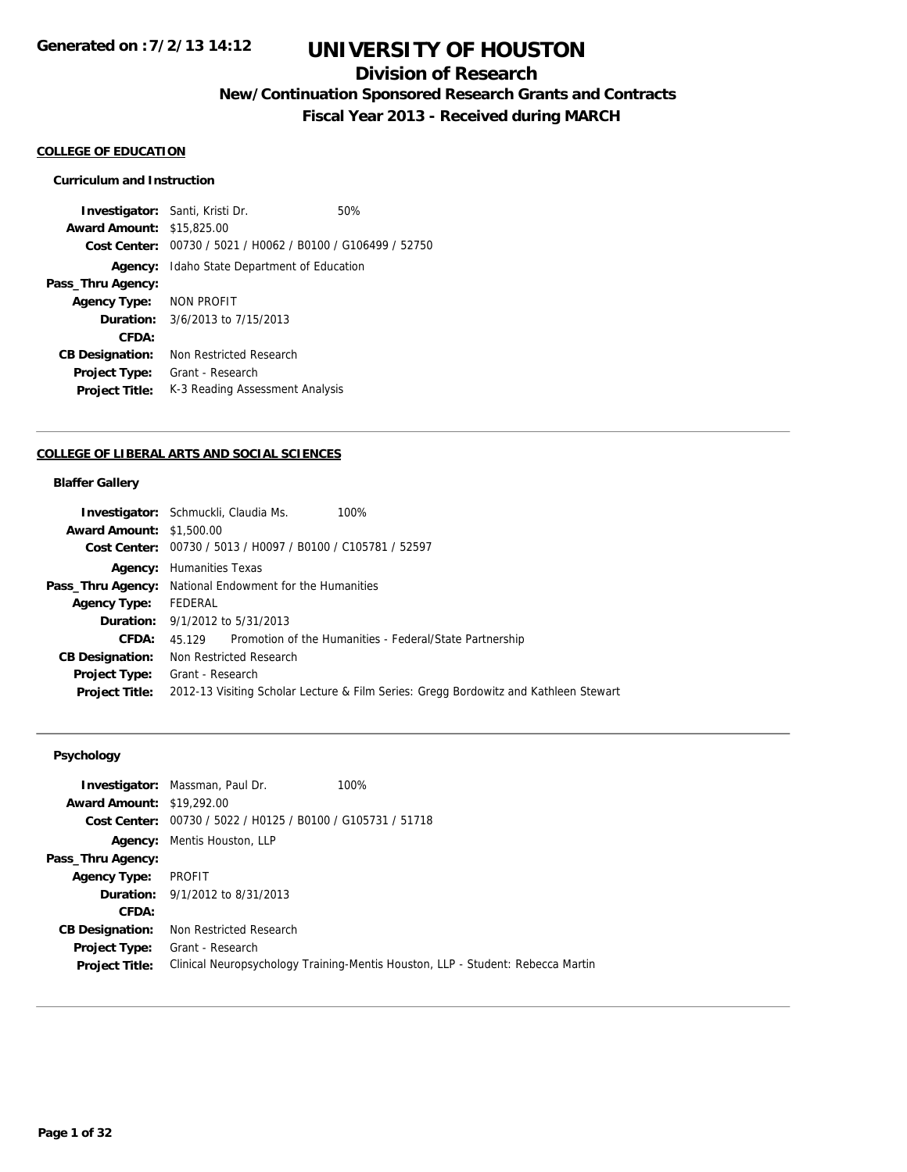## **Division of Research**

**New/Continuation Sponsored Research Grants and Contracts**

**Fiscal Year 2013 - Received during MARCH**

#### **COLLEGE OF EDUCATION**

### **Curriculum and Instruction**

**Investigator:** Santi, Kristi Dr. 60% **Award Amount:** \$15,825.00 **Cost Center:** 00730 / 5021 / H0062 / B0100 / G106499 / 52750 **Agency:** Idaho State Department of Education **Pass\_Thru Agency: Agency Type:** NON PROFIT **Duration:** 3/6/2013 to 7/15/2013 **CFDA: CB Designation:** Non Restricted Research **Project Type:** Grant - Research Project Title: K-3 Reading Assessment Analysis

#### **COLLEGE OF LIBERAL ARTS AND SOCIAL SCIENCES**

#### **Blaffer Gallery**

|                                 | <b>Investigator:</b> Schmuckli, Claudia Ms.<br>100%                                  |
|---------------------------------|--------------------------------------------------------------------------------------|
| <b>Award Amount: \$1,500.00</b> |                                                                                      |
|                                 | Cost Center: 00730 / 5013 / H0097 / B0100 / C105781 / 52597                          |
|                                 | <b>Agency:</b> Humanities Texas                                                      |
|                                 | <b>Pass_Thru Agency:</b> National Endowment for the Humanities                       |
| <b>Agency Type:</b>             | FEDERAL                                                                              |
|                                 | <b>Duration:</b> 9/1/2012 to 5/31/2013                                               |
| <b>CFDA:</b>                    | 45.129 Promotion of the Humanities - Federal/State Partnership                       |
| <b>CB Designation:</b>          | Non Restricted Research                                                              |
|                                 | <b>Project Type:</b> Grant - Research                                                |
| <b>Project Title:</b>           | 2012-13 Visiting Scholar Lecture & Film Series: Gregg Bordowitz and Kathleen Stewart |
|                                 |                                                                                      |

## **Psychology**

|                                  | <b>Investigator:</b> Massman, Paul Dr.         | 100%                                                                            |
|----------------------------------|------------------------------------------------|---------------------------------------------------------------------------------|
| <b>Award Amount: \$19,292.00</b> |                                                |                                                                                 |
| Cost Center:                     | 00730 / 5022 / H0125 / B0100 / G105731 / 51718 |                                                                                 |
| Agency:                          | Mentis Houston, LLP                            |                                                                                 |
| Pass_Thru Agency:                |                                                |                                                                                 |
| <b>Agency Type:</b>              | PROFIT                                         |                                                                                 |
|                                  | <b>Duration:</b> $9/1/2012$ to $8/31/2013$     |                                                                                 |
| CFDA:                            |                                                |                                                                                 |
| <b>CB Designation:</b>           | Non Restricted Research                        |                                                                                 |
| <b>Project Type:</b>             | Grant - Research                               |                                                                                 |
| <b>Project Title:</b>            |                                                | Clinical Neuropsychology Training-Mentis Houston, LLP - Student: Rebecca Martin |
|                                  |                                                |                                                                                 |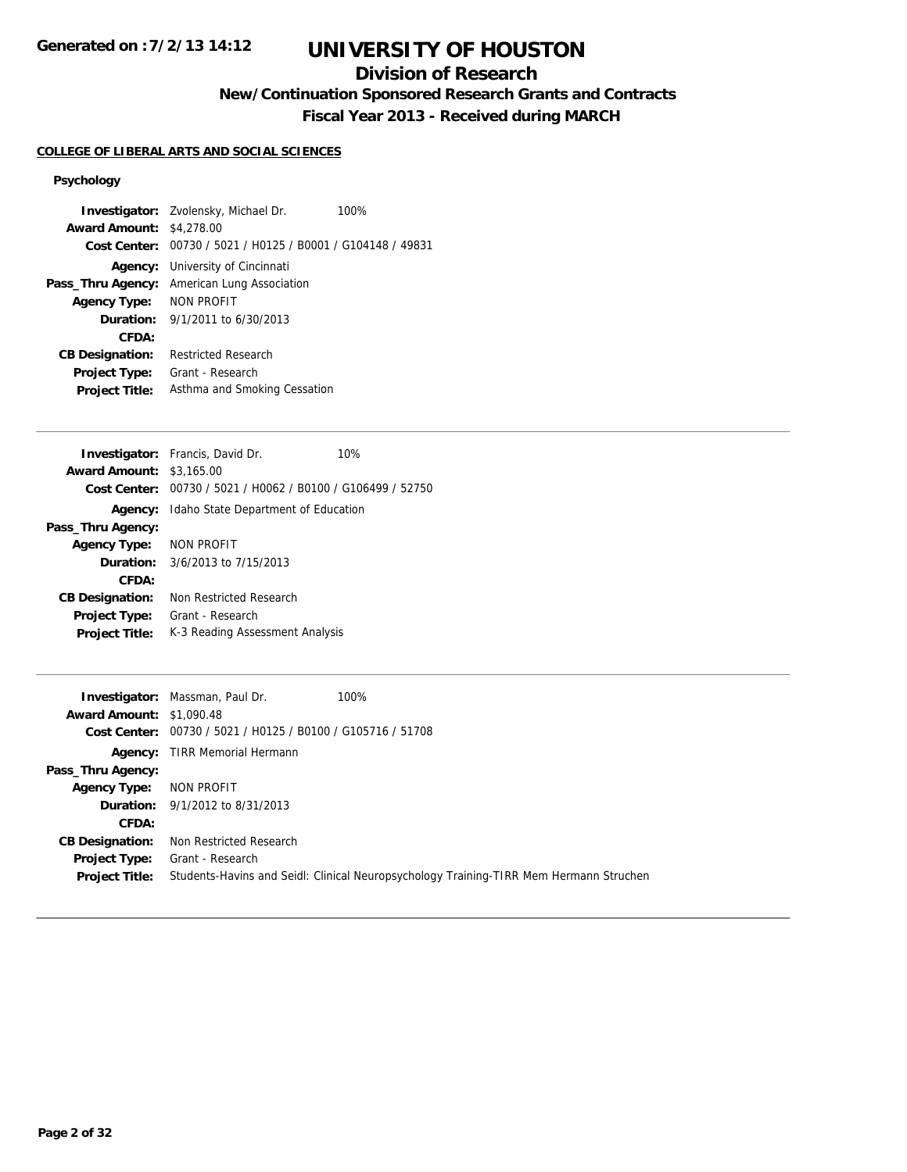## **Division of Research**

**New/Continuation Sponsored Research Grants and Contracts**

**Fiscal Year 2013 - Received during MARCH**

## **COLLEGE OF LIBERAL ARTS AND SOCIAL SCIENCES**

## **Psychology**

|                                 | <b>Investigator:</b> Zvolensky, Michael Dr.<br>100%         |
|---------------------------------|-------------------------------------------------------------|
| <b>Award Amount: \$4,278.00</b> |                                                             |
|                                 | Cost Center: 00730 / 5021 / H0125 / B0001 / G104148 / 49831 |
| Agency:                         | University of Cincinnati                                    |
| Pass_Thru Agency:               | American Lung Association                                   |
| Agency Type:                    | NON PROFIT                                                  |
|                                 | <b>Duration:</b> $9/1/2011$ to $6/30/2013$                  |
| CFDA:                           |                                                             |
| <b>CB Designation:</b>          | <b>Restricted Research</b>                                  |
| <b>Project Type:</b>            | Grant - Research                                            |
| <b>Project Title:</b>           | Asthma and Smoking Cessation                                |
|                                 |                                                             |

|                         | <b>Investigator:</b> Francis, David Dr.                     | 10% |
|-------------------------|-------------------------------------------------------------|-----|
| <b>Award Amount:</b>    | \$3,165.00                                                  |     |
|                         | Cost Center: 00730 / 5021 / H0062 / B0100 / G106499 / 52750 |     |
| Agency:                 | Idaho State Department of Education                         |     |
| Pass_Thru Agency:       |                                                             |     |
| Agency Type: NON PROFIT |                                                             |     |
|                         | <b>Duration:</b> 3/6/2013 to 7/15/2013                      |     |
| CFDA:                   |                                                             |     |
| <b>CB Designation:</b>  | Non Restricted Research                                     |     |
| Project Type:           | Grant - Research                                            |     |
| <b>Project Title:</b>   | K-3 Reading Assessment Analysis                             |     |

|                                 | <b>Investigator:</b> Massman, Paul Dr.                      | 100%                                                                                   |
|---------------------------------|-------------------------------------------------------------|----------------------------------------------------------------------------------------|
| <b>Award Amount: \$1,090.48</b> |                                                             |                                                                                        |
|                                 | Cost Center: 00730 / 5021 / H0125 / B0100 / G105716 / 51708 |                                                                                        |
|                                 | <b>Agency:</b> TIRR Memorial Hermann                        |                                                                                        |
| Pass_Thru Agency:               |                                                             |                                                                                        |
| <b>Agency Type:</b>             | NON PROFIT                                                  |                                                                                        |
|                                 | <b>Duration:</b> 9/1/2012 to 8/31/2013                      |                                                                                        |
| CFDA:                           |                                                             |                                                                                        |
| <b>CB Designation:</b>          | Non Restricted Research                                     |                                                                                        |
| Project Type:                   | Grant - Research                                            |                                                                                        |
| <b>Project Title:</b>           |                                                             | Students-Havins and Seidl: Clinical Neuropsychology Training-TIRR Mem Hermann Struchen |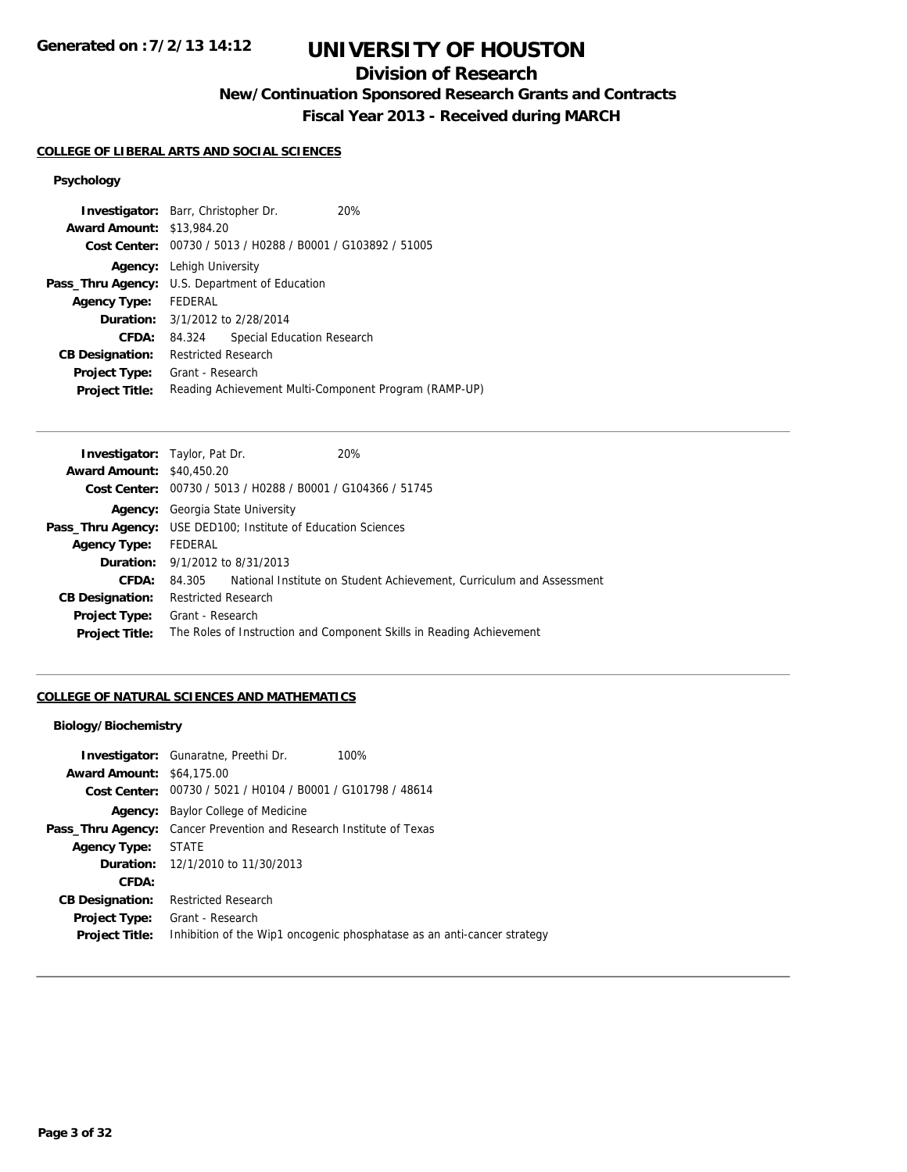## **Division of Research**

**New/Continuation Sponsored Research Grants and Contracts**

**Fiscal Year 2013 - Received during MARCH**

## **COLLEGE OF LIBERAL ARTS AND SOCIAL SCIENCES**

## **Psychology**

|         |                            | <b>20%</b>                                                                                                                                                                                                                                                                              |
|---------|----------------------------|-----------------------------------------------------------------------------------------------------------------------------------------------------------------------------------------------------------------------------------------------------------------------------------------|
|         |                            |                                                                                                                                                                                                                                                                                         |
|         |                            |                                                                                                                                                                                                                                                                                         |
|         |                            |                                                                                                                                                                                                                                                                                         |
|         |                            |                                                                                                                                                                                                                                                                                         |
| FEDERAL |                            |                                                                                                                                                                                                                                                                                         |
|         |                            |                                                                                                                                                                                                                                                                                         |
| 84.324  | Special Education Research |                                                                                                                                                                                                                                                                                         |
|         |                            |                                                                                                                                                                                                                                                                                         |
|         |                            |                                                                                                                                                                                                                                                                                         |
|         |                            | Reading Achievement Multi-Component Program (RAMP-UP)                                                                                                                                                                                                                                   |
|         |                            | <b>Investigator:</b> Barr, Christopher Dr.<br><b>Award Amount: \$13,984.20</b><br>Cost Center: 00730 / 5013 / H0288 / B0001 / G103892 / 51005<br>Lehigh University<br>U.S. Department of Education<br><b>Duration:</b> 3/1/2012 to 2/28/2014<br>Restricted Research<br>Grant - Research |

| <b>Investigator:</b> Taylor, Pat Dr.   |                            |                                                             | 20%                                                                  |
|----------------------------------------|----------------------------|-------------------------------------------------------------|----------------------------------------------------------------------|
| <b>Award Amount: \$40,450.20</b>       |                            |                                                             |                                                                      |
|                                        |                            | Cost Center: 00730 / 5013 / H0288 / B0001 / G104366 / 51745 |                                                                      |
| Agency:                                |                            | Georgia State University                                    |                                                                      |
| Pass_Thru Agency:                      |                            | USE DED100; Institute of Education Sciences                 |                                                                      |
| <b>Agency Type:</b>                    | FEDERAL                    |                                                             |                                                                      |
| <b>Duration:</b> 9/1/2012 to 8/31/2013 |                            |                                                             |                                                                      |
| CFDA:                                  | 84.305                     |                                                             | National Institute on Student Achievement, Curriculum and Assessment |
| <b>CB Designation:</b>                 | <b>Restricted Research</b> |                                                             |                                                                      |
| <b>Project Type:</b>                   | Grant - Research           |                                                             |                                                                      |
| <b>Project Title:</b>                  |                            |                                                             | The Roles of Instruction and Component Skills in Reading Achievement |
|                                        |                            |                                                             |                                                                      |

## **COLLEGE OF NATURAL SCIENCES AND MATHEMATICS**

#### **Biology/Biochemistry**

| <b>Investigator:</b> Gunaratne, Preethi Dr.                                | 100%                                                                    |
|----------------------------------------------------------------------------|-------------------------------------------------------------------------|
| <b>Award Amount: \$64,175.00</b>                                           |                                                                         |
| <b>Cost Center:</b> $00730 / 5021 / 10104 / 80001 / 6101798 / 48614$       |                                                                         |
| Baylor College of Medicine<br>Agency:                                      |                                                                         |
| <b>Pass_Thru Agency:</b> Cancer Prevention and Research Institute of Texas |                                                                         |
| STATE                                                                      |                                                                         |
| <b>Duration:</b> 12/1/2010 to 11/30/2013                                   |                                                                         |
|                                                                            |                                                                         |
| <b>Restricted Research</b>                                                 |                                                                         |
| Grant - Research                                                           |                                                                         |
|                                                                            | Inhibition of the Wip1 oncogenic phosphatase as an anti-cancer strategy |
|                                                                            |                                                                         |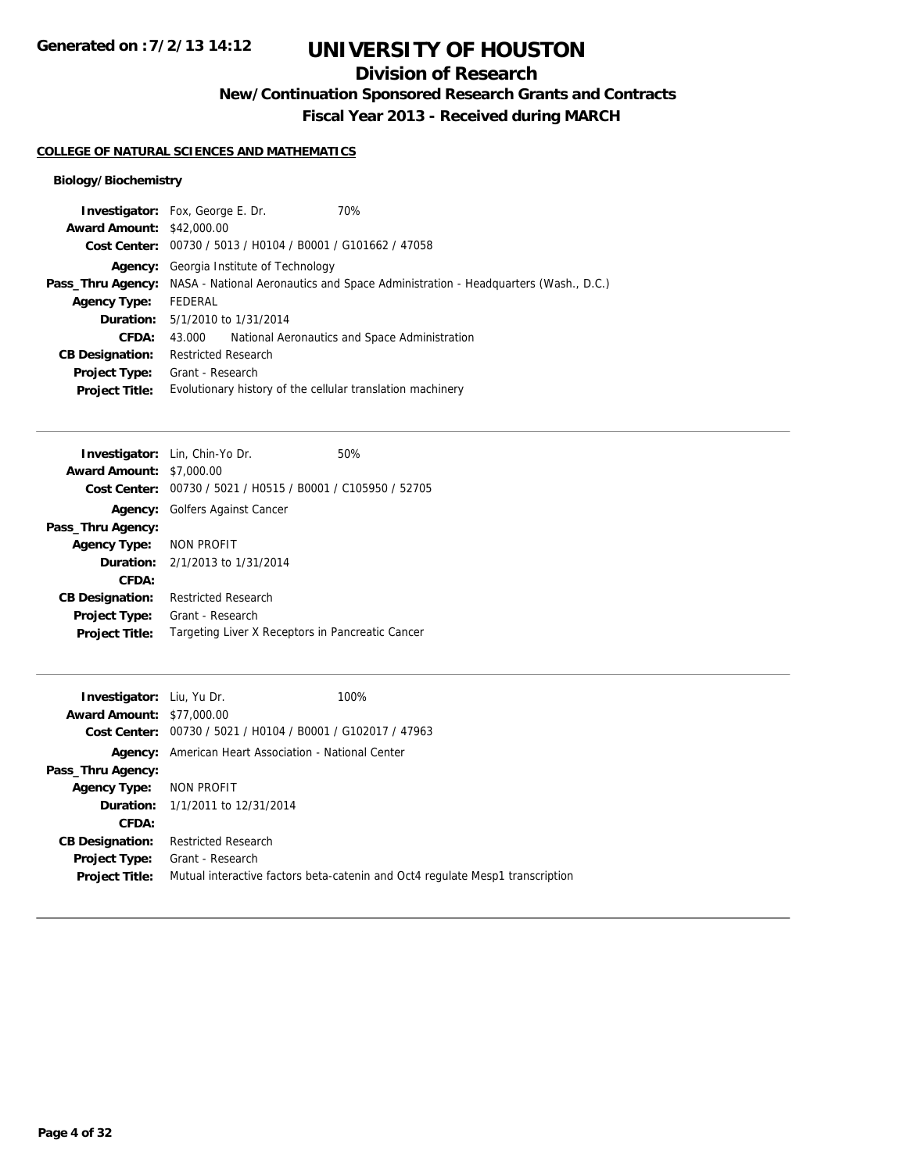## **Division of Research**

**New/Continuation Sponsored Research Grants and Contracts**

**Fiscal Year 2013 - Received during MARCH**

### **COLLEGE OF NATURAL SCIENCES AND MATHEMATICS**

## **Biology/Biochemistry**

|                                  | 70%<br><b>Investigator:</b> Fox, George E. Dr.                                                             |  |
|----------------------------------|------------------------------------------------------------------------------------------------------------|--|
| <b>Award Amount: \$42,000.00</b> |                                                                                                            |  |
|                                  | Cost Center: 00730 / 5013 / H0104 / B0001 / G101662 / 47058                                                |  |
| Agency:                          | Georgia Institute of Technology                                                                            |  |
|                                  | <b>Pass_Thru Agency:</b> NASA - National Aeronautics and Space Administration - Headquarters (Wash., D.C.) |  |
| <b>Agency Type:</b>              | FEDERAL                                                                                                    |  |
|                                  | <b>Duration:</b> 5/1/2010 to 1/31/2014                                                                     |  |
| CFDA:                            | National Aeronautics and Space Administration<br>43.000                                                    |  |
| <b>CB Designation:</b>           | <b>Restricted Research</b>                                                                                 |  |
| Project Type:                    | Grant - Research                                                                                           |  |
| <b>Project Title:</b>            | Evolutionary history of the cellular translation machinery                                                 |  |
|                                  |                                                                                                            |  |

| <b>Award Amount: \$7,000.00</b><br>Cost Center: 00730 / 5021 / H0515 / B0001 / C105950 / 52705<br><b>Agency:</b> Golfers Against Cancer<br>Pass_Thru Agency:<br>Agency Type: NON PROFIT<br><b>Duration:</b> $2/1/2013$ to $1/31/2014$<br>CFDA:<br><b>Restricted Research</b><br><b>CB Designation:</b><br>Grant - Research<br><b>Project Type:</b><br>Targeting Liver X Receptors in Pancreatic Cancer<br><b>Project Title:</b> | <b>Investigator:</b> Lin, Chin-Yo Dr. | 50% |
|---------------------------------------------------------------------------------------------------------------------------------------------------------------------------------------------------------------------------------------------------------------------------------------------------------------------------------------------------------------------------------------------------------------------------------|---------------------------------------|-----|
|                                                                                                                                                                                                                                                                                                                                                                                                                                 |                                       |     |
|                                                                                                                                                                                                                                                                                                                                                                                                                                 |                                       |     |
|                                                                                                                                                                                                                                                                                                                                                                                                                                 |                                       |     |
|                                                                                                                                                                                                                                                                                                                                                                                                                                 |                                       |     |
|                                                                                                                                                                                                                                                                                                                                                                                                                                 |                                       |     |
|                                                                                                                                                                                                                                                                                                                                                                                                                                 |                                       |     |
|                                                                                                                                                                                                                                                                                                                                                                                                                                 |                                       |     |
|                                                                                                                                                                                                                                                                                                                                                                                                                                 |                                       |     |
|                                                                                                                                                                                                                                                                                                                                                                                                                                 |                                       |     |
|                                                                                                                                                                                                                                                                                                                                                                                                                                 |                                       |     |

| <b>Investigator:</b> Liu, Yu Dr. |                                                             | 100%                                                                          |
|----------------------------------|-------------------------------------------------------------|-------------------------------------------------------------------------------|
| <b>Award Amount: \$77,000.00</b> |                                                             |                                                                               |
|                                  | Cost Center: 00730 / 5021 / H0104 / B0001 / G102017 / 47963 |                                                                               |
|                                  | <b>Agency:</b> American Heart Association - National Center |                                                                               |
| Pass_Thru Agency:                |                                                             |                                                                               |
| Agency Type: NON PROFIT          |                                                             |                                                                               |
|                                  | <b>Duration:</b> 1/1/2011 to 12/31/2014                     |                                                                               |
| CFDA:                            |                                                             |                                                                               |
| <b>CB Designation:</b>           | <b>Restricted Research</b>                                  |                                                                               |
| <b>Project Type:</b>             | Grant - Research                                            |                                                                               |
| <b>Project Title:</b>            |                                                             | Mutual interactive factors beta-catenin and Oct4 regulate Mesp1 transcription |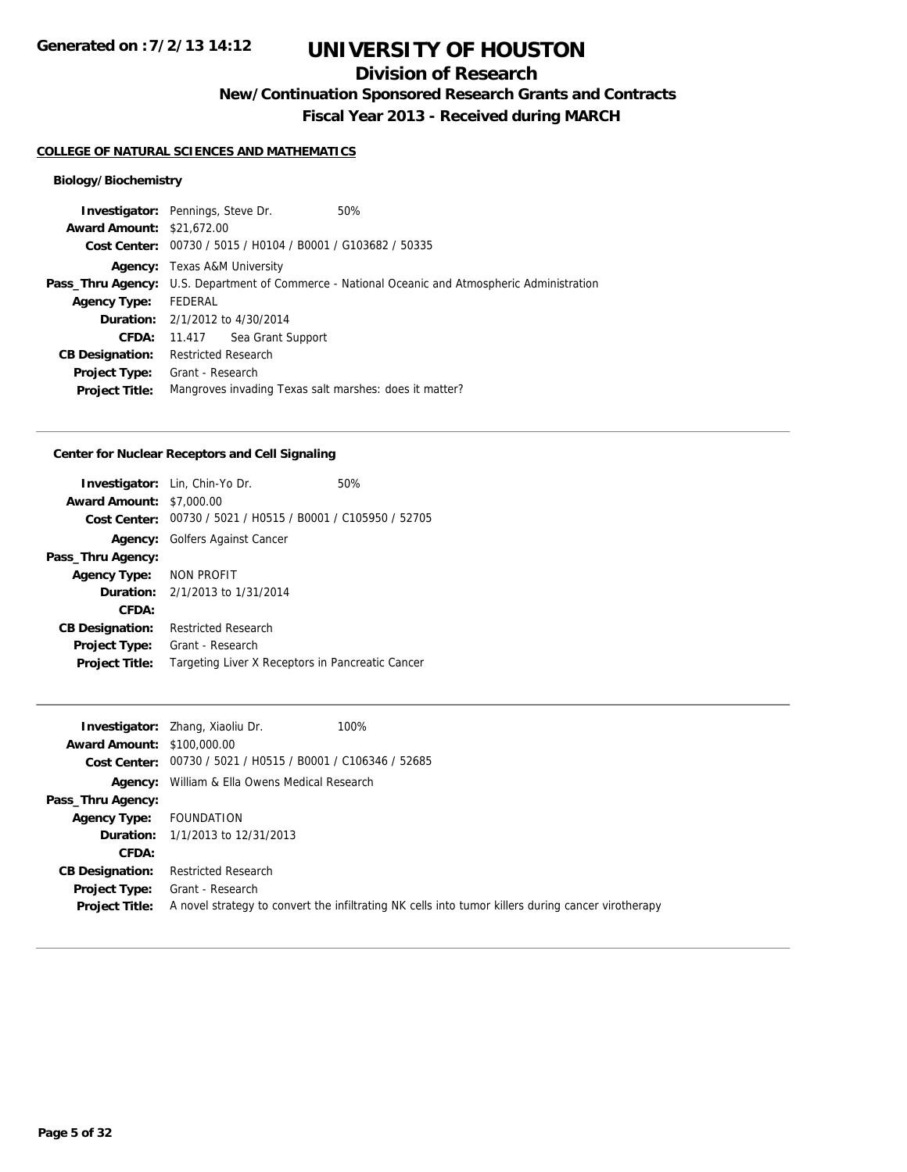## **Division of Research**

**New/Continuation Sponsored Research Grants and Contracts**

**Fiscal Year 2013 - Received during MARCH**

#### **COLLEGE OF NATURAL SCIENCES AND MATHEMATICS**

## **Biology/Biochemistry**

| <b>Investigator:</b> Pennings, Steve Dr. |                                     |                                                             | 50%                                                                                                    |
|------------------------------------------|-------------------------------------|-------------------------------------------------------------|--------------------------------------------------------------------------------------------------------|
| <b>Award Amount: \$21,672.00</b>         |                                     |                                                             |                                                                                                        |
|                                          |                                     | Cost Center: 00730 / 5015 / H0104 / B0001 / G103682 / 50335 |                                                                                                        |
|                                          | <b>Agency:</b> Texas A&M University |                                                             |                                                                                                        |
|                                          |                                     |                                                             | <b>Pass_Thru Agency:</b> U.S. Department of Commerce - National Oceanic and Atmospheric Administration |
| <b>Agency Type:</b>                      | FEDERAL                             |                                                             |                                                                                                        |
|                                          |                                     | <b>Duration:</b> 2/1/2012 to 4/30/2014                      |                                                                                                        |
| CFDA:                                    |                                     | 11.417 Sea Grant Support                                    |                                                                                                        |
| <b>CB Designation:</b>                   | <b>Restricted Research</b>          |                                                             |                                                                                                        |
| Project Type:                            | Grant - Research                    |                                                             |                                                                                                        |
| <b>Project Title:</b>                    |                                     |                                                             | Mangroves invading Texas salt marshes: does it matter?                                                 |
|                                          |                                     |                                                             |                                                                                                        |

## **Center for Nuclear Receptors and Cell Signaling**

| <b>Award Amount: \$7,000.00</b> | <b>Investigator:</b> Lin, Chin-Yo Dr.<br>Cost Center: 00730 / 5021 / H0515 / B0001 / C105950 / 52705 | 50% |
|---------------------------------|------------------------------------------------------------------------------------------------------|-----|
|                                 | <b>Agency:</b> Golfers Against Cancer                                                                |     |
| Pass_Thru Agency:               |                                                                                                      |     |
| Agency Type: NON PROFIT         |                                                                                                      |     |
|                                 | <b>Duration:</b> $2/1/2013$ to $1/31/2014$                                                           |     |
| CFDA:                           |                                                                                                      |     |
| <b>CB Designation:</b>          | <b>Restricted Research</b>                                                                           |     |
| <b>Project Type:</b>            | Grant - Research                                                                                     |     |
| <b>Project Title:</b>           | Targeting Liver X Receptors in Pancreatic Cancer                                                     |     |

|                                   | <b>Investigator:</b> Zhang, Xiaoliu Dr.                             | 100%                                                                                               |
|-----------------------------------|---------------------------------------------------------------------|----------------------------------------------------------------------------------------------------|
| <b>Award Amount: \$100,000.00</b> |                                                                     |                                                                                                    |
|                                   | <b>Cost Center:</b> $00730 / 5021 / 10515 / 10001 / 106346 / 52685$ |                                                                                                    |
| Agency:                           | William & Ella Owens Medical Research                               |                                                                                                    |
| Pass_Thru Agency:                 |                                                                     |                                                                                                    |
| <b>Agency Type:</b>               | FOUNDATION                                                          |                                                                                                    |
|                                   | <b>Duration:</b> 1/1/2013 to 12/31/2013                             |                                                                                                    |
| CFDA:                             |                                                                     |                                                                                                    |
| <b>CB Designation:</b>            | <b>Restricted Research</b>                                          |                                                                                                    |
| Project Type:                     | Grant - Research                                                    |                                                                                                    |
| <b>Project Title:</b>             |                                                                     | A novel strategy to convert the infiltrating NK cells into tumor killers during cancer virotherapy |
|                                   |                                                                     |                                                                                                    |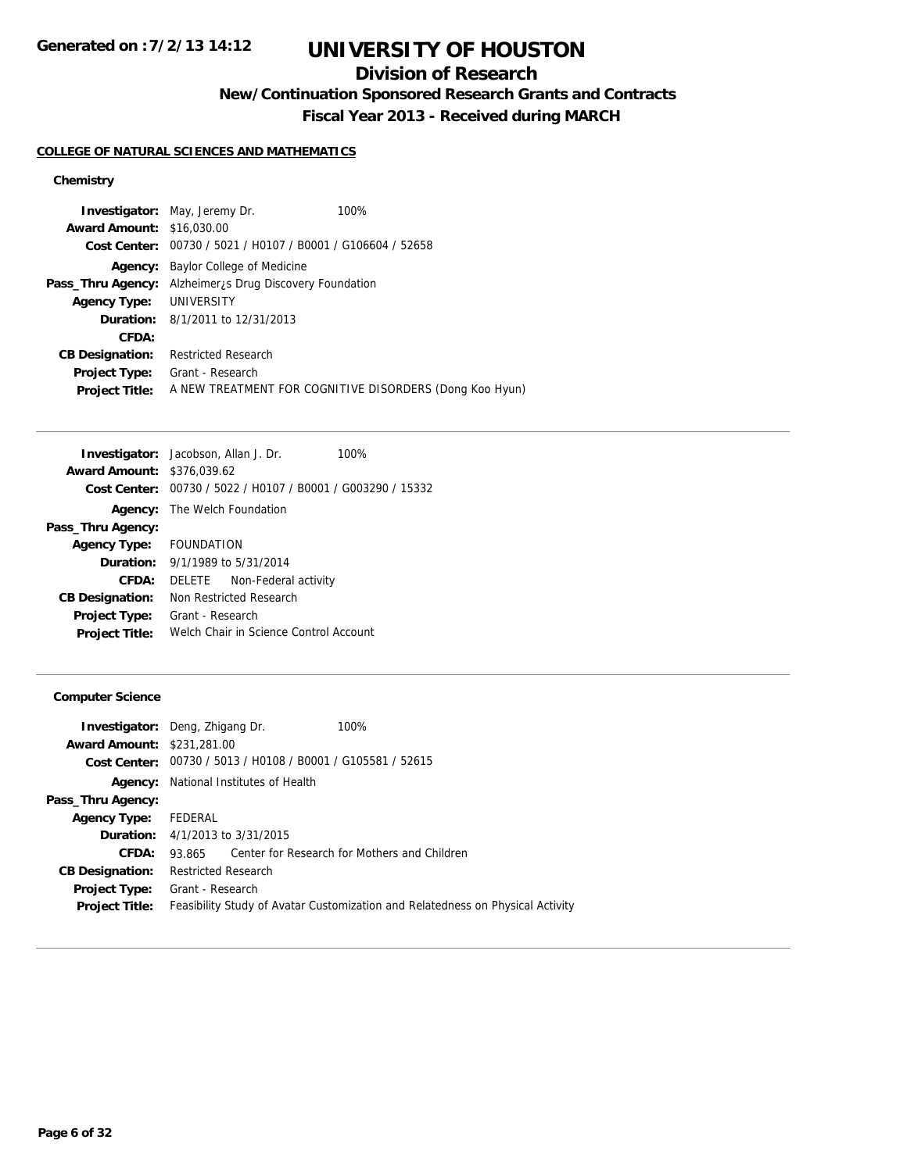## **Division of Research**

**New/Continuation Sponsored Research Grants and Contracts**

**Fiscal Year 2013 - Received during MARCH**

### **COLLEGE OF NATURAL SCIENCES AND MATHEMATICS**

## **Chemistry**

|                                  | <b>Investigator:</b> May, Jeremy Dr.                            | 100%                                                    |
|----------------------------------|-----------------------------------------------------------------|---------------------------------------------------------|
| <b>Award Amount: \$16,030.00</b> |                                                                 |                                                         |
|                                  | Cost Center: 00730 / 5021 / H0107 / B0001 / G106604 / 52658     |                                                         |
| Agency:                          | Baylor College of Medicine                                      |                                                         |
|                                  | <b>Pass_Thru Agency:</b> Alzheimer, S Drug Discovery Foundation |                                                         |
| <b>Agency Type:</b>              | UNIVERSITY                                                      |                                                         |
|                                  | <b>Duration:</b> 8/1/2011 to 12/31/2013                         |                                                         |
| CFDA:                            |                                                                 |                                                         |
| <b>CB Designation:</b>           | <b>Restricted Research</b>                                      |                                                         |
| <b>Project Type:</b>             | Grant - Research                                                |                                                         |
| <b>Project Title:</b>            |                                                                 | A NEW TREATMENT FOR COGNITIVE DISORDERS (Dong Koo Hyun) |

|  | 100%                                                                                                                                                                                                                                                                                                                                                                                |
|--|-------------------------------------------------------------------------------------------------------------------------------------------------------------------------------------------------------------------------------------------------------------------------------------------------------------------------------------------------------------------------------------|
|  |                                                                                                                                                                                                                                                                                                                                                                                     |
|  |                                                                                                                                                                                                                                                                                                                                                                                     |
|  |                                                                                                                                                                                                                                                                                                                                                                                     |
|  |                                                                                                                                                                                                                                                                                                                                                                                     |
|  |                                                                                                                                                                                                                                                                                                                                                                                     |
|  |                                                                                                                                                                                                                                                                                                                                                                                     |
|  |                                                                                                                                                                                                                                                                                                                                                                                     |
|  |                                                                                                                                                                                                                                                                                                                                                                                     |
|  |                                                                                                                                                                                                                                                                                                                                                                                     |
|  |                                                                                                                                                                                                                                                                                                                                                                                     |
|  | <b>Investigator:</b> Jacobson, Allan J. Dr.<br><b>Award Amount: \$376,039.62</b><br>Cost Center: 00730 / 5022 / H0107 / B0001 / G003290 / 15332<br><b>Agency:</b> The Welch Foundation<br>Agency Type: FOUNDATION<br><b>Duration:</b> 9/1/1989 to 5/31/2014<br>DELETE Non-Federal activity<br>Non Restricted Research<br>Grant - Research<br>Welch Chair in Science Control Account |

## **Computer Science**

| <b>Investigator:</b> Deng, Zhigang Dr. |                            |                                                             | 100%                                                                           |
|----------------------------------------|----------------------------|-------------------------------------------------------------|--------------------------------------------------------------------------------|
| <b>Award Amount: \$231,281.00</b>      |                            |                                                             |                                                                                |
|                                        |                            | Cost Center: 00730 / 5013 / H0108 / B0001 / G105581 / 52615 |                                                                                |
| Agency:                                |                            | National Institutes of Health                               |                                                                                |
| Pass_Thru Agency:                      |                            |                                                             |                                                                                |
| <b>Agency Type:</b>                    | FEDERAL                    |                                                             |                                                                                |
|                                        |                            | <b>Duration:</b> $4/1/2013$ to $3/31/2015$                  |                                                                                |
| CFDA:                                  | 93.865                     |                                                             | Center for Research for Mothers and Children                                   |
| <b>CB Designation:</b>                 | <b>Restricted Research</b> |                                                             |                                                                                |
| <b>Project Type:</b>                   | Grant - Research           |                                                             |                                                                                |
| <b>Project Title:</b>                  |                            |                                                             | Feasibility Study of Avatar Customization and Relatedness on Physical Activity |
|                                        |                            |                                                             |                                                                                |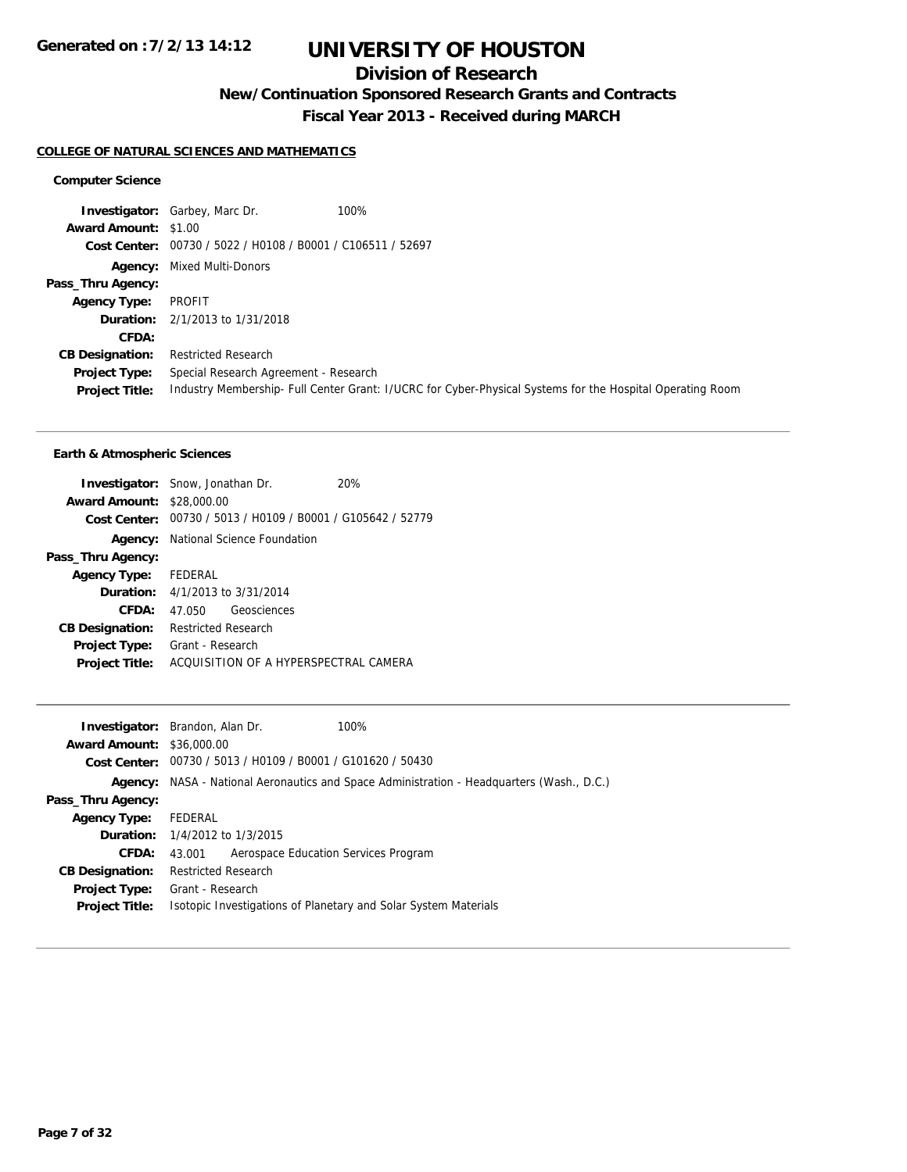## **Division of Research**

**New/Continuation Sponsored Research Grants and Contracts**

**Fiscal Year 2013 - Received during MARCH**

## **COLLEGE OF NATURAL SCIENCES AND MATHEMATICS**

#### **Computer Science**

**Investigator:** Garbey, Marc Dr. 100% **Award Amount:** \$1.00 **Cost Center:** 00730 / 5022 / H0108 / B0001 / C106511 / 52697 **Agency:** Mixed Multi-Donors **Pass\_Thru Agency: Agency Type:** PROFIT **Duration:** 2/1/2013 to 1/31/2018 **CFDA: CB Designation:** Restricted Research **Project Type:** Special Research Agreement - Research **Project Title:** Industry Membership- Full Center Grant: I/UCRC for Cyber-Physical Systems for the Hospital Operating Room

|                            | 20%                                                                                                                                                                                                               |
|----------------------------|-------------------------------------------------------------------------------------------------------------------------------------------------------------------------------------------------------------------|
|                            |                                                                                                                                                                                                                   |
|                            | Cost Center: 00730 / 5013 / H0109 / B0001 / G105642 / 52779                                                                                                                                                       |
|                            |                                                                                                                                                                                                                   |
|                            |                                                                                                                                                                                                                   |
|                            |                                                                                                                                                                                                                   |
|                            |                                                                                                                                                                                                                   |
|                            |                                                                                                                                                                                                                   |
| <b>Restricted Research</b> |                                                                                                                                                                                                                   |
| Grant - Research           |                                                                                                                                                                                                                   |
|                            | ACOUISITION OF A HYPERSPECTRAL CAMERA                                                                                                                                                                             |
|                            | <b>Investigator:</b> Snow, Jonathan Dr.<br><b>Award Amount: \$28,000.00</b><br><b>Agency:</b> National Science Foundation<br>Agency Type: FEDERAL<br><b>Duration:</b> 4/1/2013 to 3/31/2014<br>47.050 Geosciences |

| <b>Award Amount: \$36,000.00</b>                                                          |  |
|-------------------------------------------------------------------------------------------|--|
| <b>Cost Center:</b> $00730 / 5013 / 40109 / 80001 / 6101620 / 50430$                      |  |
| Agency: NASA - National Aeronautics and Space Administration - Headquarters (Wash., D.C.) |  |
| Pass_Thru Agency:                                                                         |  |
| FEDERAL<br><b>Agency Type:</b>                                                            |  |
| <b>Duration:</b> 1/4/2012 to 1/3/2015                                                     |  |
| CFDA:<br>Aerospace Education Services Program<br>43.001                                   |  |
| <b>Restricted Research</b><br><b>CB Designation:</b>                                      |  |
| Grant - Research<br><b>Project Type:</b>                                                  |  |
| Isotopic Investigations of Planetary and Solar System Materials<br><b>Project Title:</b>  |  |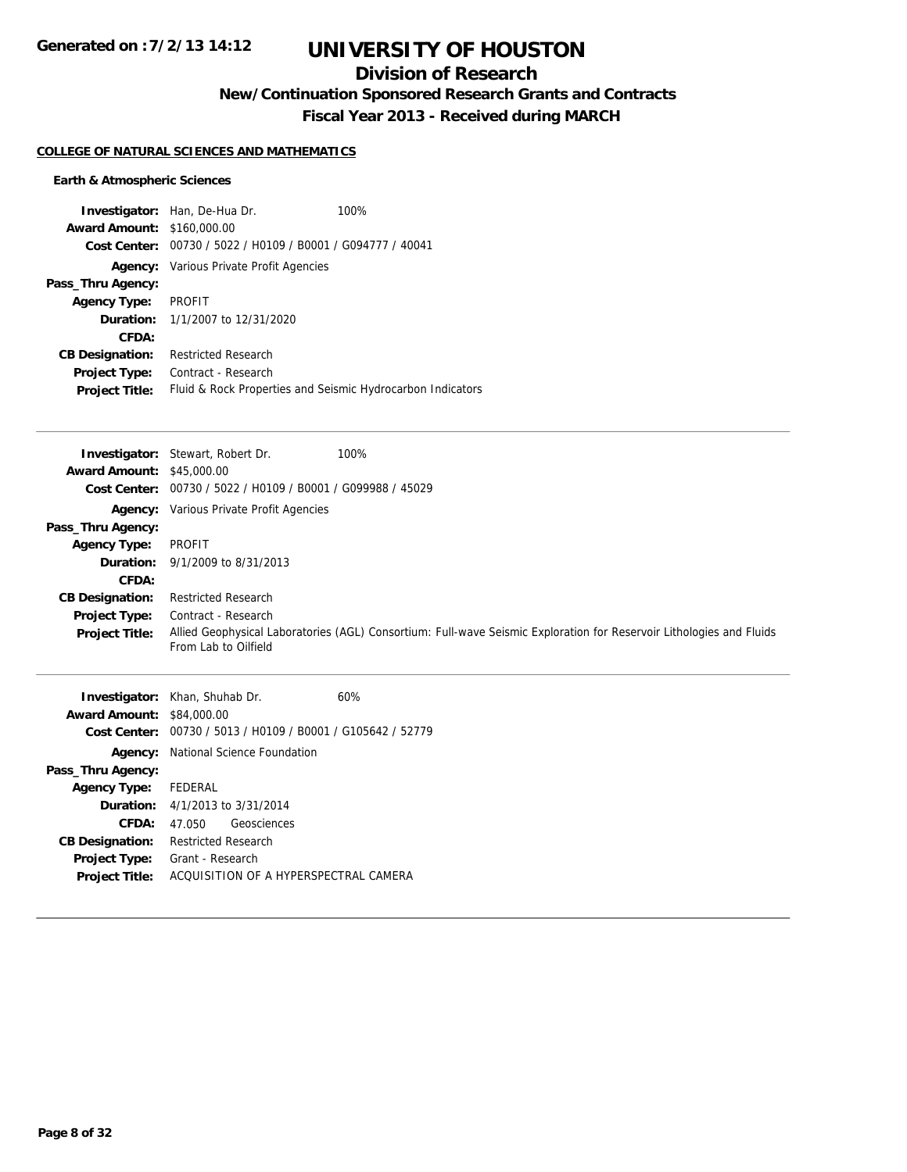## **Division of Research**

**New/Continuation Sponsored Research Grants and Contracts**

**Fiscal Year 2013 - Received during MARCH**

### **COLLEGE OF NATURAL SCIENCES AND MATHEMATICS**

|                                   | <b>Investigator:</b> Han, De-Hua Dr.                       | 100% |
|-----------------------------------|------------------------------------------------------------|------|
| <b>Award Amount: \$160,000.00</b> |                                                            |      |
| Cost Center:                      | 00730 / 5022 / H0109 / B0001 / G094777 / 40041             |      |
| Agency:                           | Various Private Profit Agencies                            |      |
| Pass_Thru Agency:                 |                                                            |      |
| <b>Agency Type:</b>               | PROFIT                                                     |      |
|                                   | <b>Duration:</b> 1/1/2007 to 12/31/2020                    |      |
| CFDA:                             |                                                            |      |
| <b>CB Designation:</b>            | <b>Restricted Research</b>                                 |      |
| <b>Project Type:</b>              | Contract - Research                                        |      |
| <b>Project Title:</b>             | Fluid & Rock Properties and Seismic Hydrocarbon Indicators |      |

|                                  | 100%<br><b>Investigator:</b> Stewart, Robert Dr.                                                                                             |  |
|----------------------------------|----------------------------------------------------------------------------------------------------------------------------------------------|--|
| <b>Award Amount: \$45,000.00</b> |                                                                                                                                              |  |
|                                  | Cost Center: 00730 / 5022 / H0109 / B0001 / G099988 / 45029                                                                                  |  |
|                                  | <b>Agency:</b> Various Private Profit Agencies                                                                                               |  |
| Pass_Thru Agency:                |                                                                                                                                              |  |
| <b>Agency Type:</b>              | PROFIT                                                                                                                                       |  |
|                                  | <b>Duration:</b> $9/1/2009$ to $8/31/2013$                                                                                                   |  |
| CFDA:                            |                                                                                                                                              |  |
| <b>CB Designation:</b>           | <b>Restricted Research</b>                                                                                                                   |  |
| Project Type:                    | Contract - Research                                                                                                                          |  |
| <b>Project Title:</b>            | Allied Geophysical Laboratories (AGL) Consortium: Full-wave Seismic Exploration for Reservoir Lithologies and Fluids<br>From Lab to Oilfield |  |

|                        | <b>Investigator:</b> Khan, Shuhab Dr.          | 60% |
|------------------------|------------------------------------------------|-----|
| <b>Award Amount:</b>   | \$84,000.00                                    |     |
| Cost Center:           | 00730 / 5013 / H0109 / B0001 / G105642 / 52779 |     |
|                        | <b>Agency:</b> National Science Foundation     |     |
| Pass_Thru Agency:      |                                                |     |
| <b>Agency Type:</b>    | FEDERAL                                        |     |
|                        | <b>Duration:</b> $4/1/2013$ to $3/31/2014$     |     |
| CFDA:                  | Geosciences<br>47 050                          |     |
| <b>CB Designation:</b> | Restricted Research                            |     |
| <b>Project Type:</b>   | Grant - Research                               |     |
| <b>Project Title:</b>  | ACQUISITION OF A HYPERSPECTRAL CAMERA          |     |
|                        |                                                |     |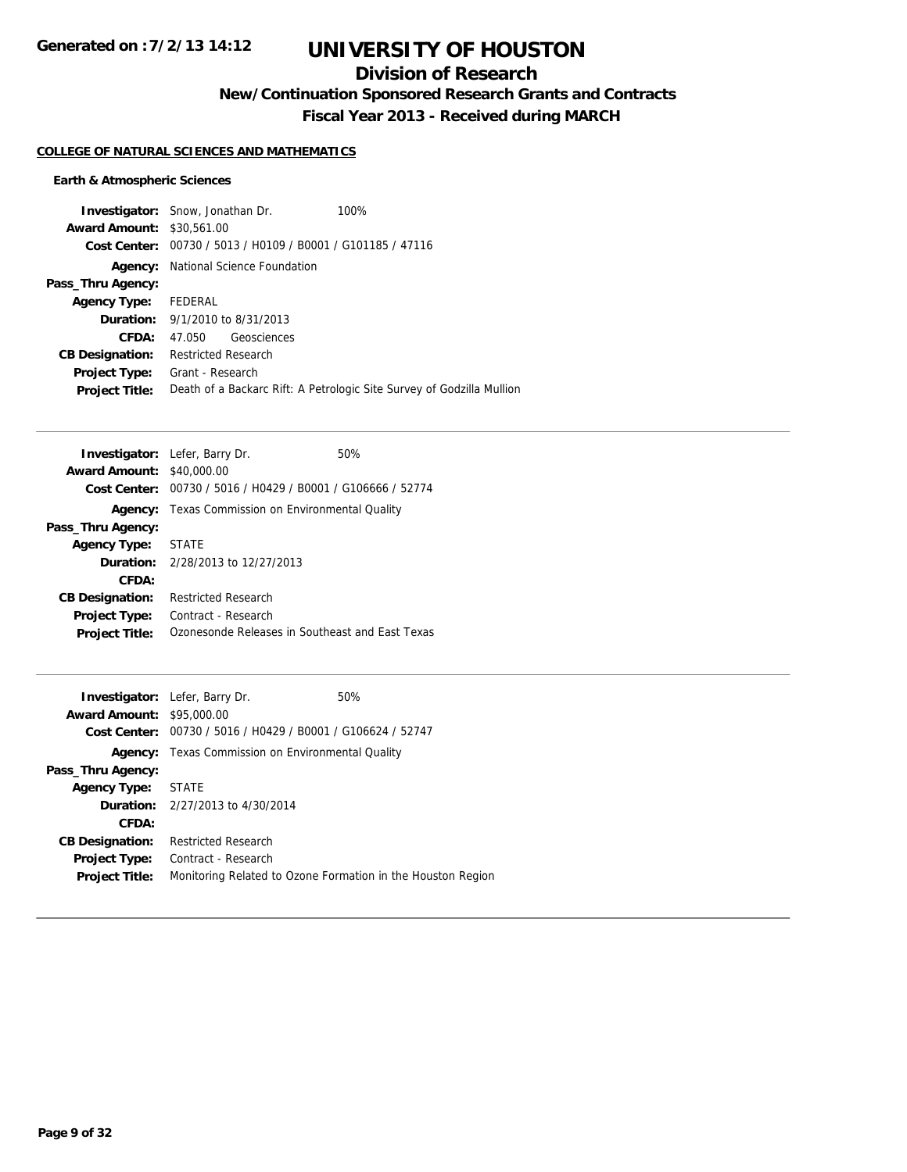## **Division of Research**

**New/Continuation Sponsored Research Grants and Contracts**

**Fiscal Year 2013 - Received during MARCH**

## **COLLEGE OF NATURAL SCIENCES AND MATHEMATICS**

|                        | <b>Investigator:</b> Snow, Jonathan Dr.                     | 100%                                                                  |
|------------------------|-------------------------------------------------------------|-----------------------------------------------------------------------|
| <b>Award Amount:</b>   | \$30,561.00                                                 |                                                                       |
|                        | Cost Center: 00730 / 5013 / H0109 / B0001 / G101185 / 47116 |                                                                       |
| Agency:                | National Science Foundation                                 |                                                                       |
| Pass_Thru Agency:      |                                                             |                                                                       |
| <b>Agency Type:</b>    | FEDERAL                                                     |                                                                       |
|                        | <b>Duration:</b> 9/1/2010 to 8/31/2013                      |                                                                       |
| CFDA:                  | Geosciences<br>47.050                                       |                                                                       |
| <b>CB Designation:</b> | <b>Restricted Research</b>                                  |                                                                       |
| <b>Project Type:</b>   | Grant - Research                                            |                                                                       |
| <b>Project Title:</b>  |                                                             | Death of a Backarc Rift: A Petrologic Site Survey of Godzilla Mullion |

|                        | <b>Investigator:</b> Lefer, Barry Dr.                       | 50% |
|------------------------|-------------------------------------------------------------|-----|
| <b>Award Amount:</b>   | \$40,000.00                                                 |     |
|                        | Cost Center: 00730 / 5016 / H0429 / B0001 / G106666 / 52774 |     |
| Agency:                | Texas Commission on Environmental Quality                   |     |
| Pass_Thru Agency:      |                                                             |     |
| <b>Agency Type:</b>    | <b>STATE</b>                                                |     |
|                        | <b>Duration:</b> 2/28/2013 to 12/27/2013                    |     |
| CFDA:                  |                                                             |     |
| <b>CB Designation:</b> | <b>Restricted Research</b>                                  |     |
| <b>Project Type:</b>   | Contract - Research                                         |     |
| <b>Project Title:</b>  | Ozonesonde Releases in Southeast and East Texas             |     |

|                                  | <b>Investigator:</b> Lefer, Barry Dr.          | 50%                                                         |
|----------------------------------|------------------------------------------------|-------------------------------------------------------------|
|                                  |                                                |                                                             |
| <b>Award Amount: \$95,000.00</b> |                                                |                                                             |
| Cost Center:                     | 00730 / 5016 / H0429 / B0001 / G106624 / 52747 |                                                             |
| Agency:                          | Texas Commission on Environmental Quality      |                                                             |
| Pass_Thru Agency:                |                                                |                                                             |
| <b>Agency Type: STATE</b>        |                                                |                                                             |
|                                  | <b>Duration:</b> 2/27/2013 to 4/30/2014        |                                                             |
| CFDA:                            |                                                |                                                             |
| <b>CB Designation:</b>           | <b>Restricted Research</b>                     |                                                             |
| <b>Project Type:</b>             | Contract - Research                            |                                                             |
| <b>Project Title:</b>            |                                                | Monitoring Related to Ozone Formation in the Houston Region |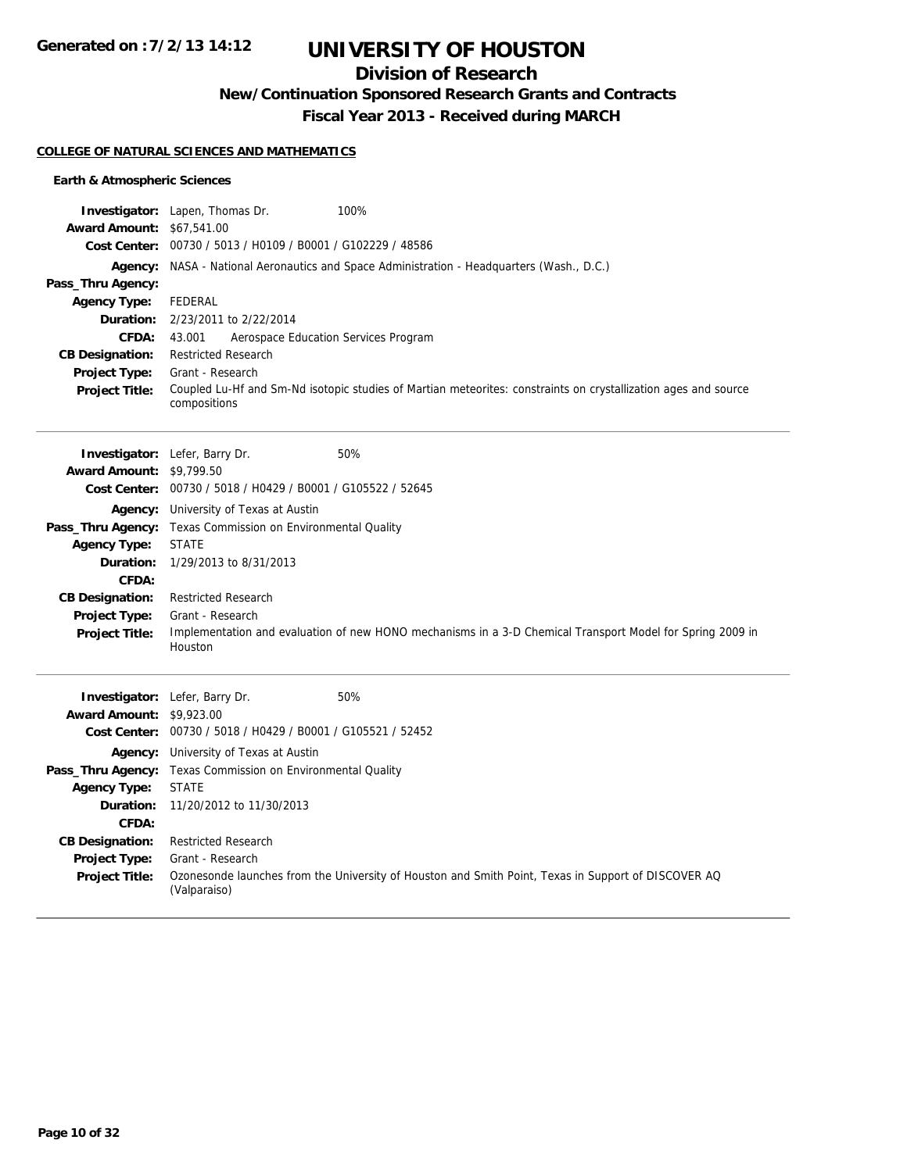**Generated on :7/2/13 14:12**

# **UNIVERSITY OF HOUSTON**

## **Division of Research**

**New/Continuation Sponsored Research Grants and Contracts**

**Fiscal Year 2013 - Received during MARCH**

#### **COLLEGE OF NATURAL SCIENCES AND MATHEMATICS**

|                                  | Investigator: Lapen, Thomas Dr.<br>100%                                                                                        |
|----------------------------------|--------------------------------------------------------------------------------------------------------------------------------|
| <b>Award Amount: \$67,541.00</b> |                                                                                                                                |
|                                  | Cost Center: 00730 / 5013 / H0109 / B0001 / G102229 / 48586                                                                    |
|                                  | <b>Agency:</b> NASA - National Aeronautics and Space Administration - Headquarters (Wash., D.C.)                               |
| Pass_Thru Agency:                |                                                                                                                                |
| <b>Agency Type:</b>              | <b>FEDERAL</b>                                                                                                                 |
| Duration:                        | 2/23/2011 to 2/22/2014                                                                                                         |
| CFDA:                            | 43.001<br>Aerospace Education Services Program                                                                                 |
| <b>CB Designation:</b>           | <b>Restricted Research</b>                                                                                                     |
| <b>Project Type:</b>             | Grant - Research                                                                                                               |
| <b>Project Title:</b>            | Coupled Lu-Hf and Sm-Nd isotopic studies of Martian meteorites: constraints on crystallization ages and source<br>compositions |
|                                  | 50%                                                                                                                            |
| <b>Award Amount: \$9,799.50</b>  | Investigator: Lefer, Barry Dr.                                                                                                 |
|                                  | Cost Center: 00730 / 5018 / H0429 / B0001 / G105522 / 52645                                                                    |
|                                  |                                                                                                                                |
|                                  | <b>Agency:</b> University of Texas at Austin<br>Pass_Thru Agency: Texas Commission on Environmental Quality                    |
| <b>Agency Type:</b>              | <b>STATE</b>                                                                                                                   |
| Duration:                        | 1/29/2013 to 8/31/2013                                                                                                         |
| CFDA:                            |                                                                                                                                |
| <b>CB Designation:</b>           | <b>Restricted Research</b>                                                                                                     |
| Project Type:                    | Grant - Research                                                                                                               |
| <b>Project Title:</b>            | Implementation and evaluation of new HONO mechanisms in a 3-D Chemical Transport Model for Spring 2009 in<br>Houston           |
|                                  | 50%<br>Investigator: Lefer, Barry Dr.                                                                                          |
| <b>Award Amount: \$9,923.00</b>  |                                                                                                                                |
|                                  | Cost Center: 00730 / 5018 / H0429 / B0001 / G105521 / 52452                                                                    |
|                                  | <b>Agency:</b> University of Texas at Austin                                                                                   |
|                                  | Pass_Thru Agency: Texas Commission on Environmental Quality                                                                    |
| <b>Agency Type:</b>              | <b>STATE</b>                                                                                                                   |
| Duration:                        | 11/20/2012 to 11/30/2013                                                                                                       |
| CFDA:                            |                                                                                                                                |
| <b>CB Designation:</b>           | <b>Restricted Research</b>                                                                                                     |
| Project Type:                    | Grant - Research                                                                                                               |
| <b>Project Title:</b>            | Ozonesonde launches from the University of Houston and Smith Point, Texas in Support of DISCOVER AQ<br>(Valparaiso)            |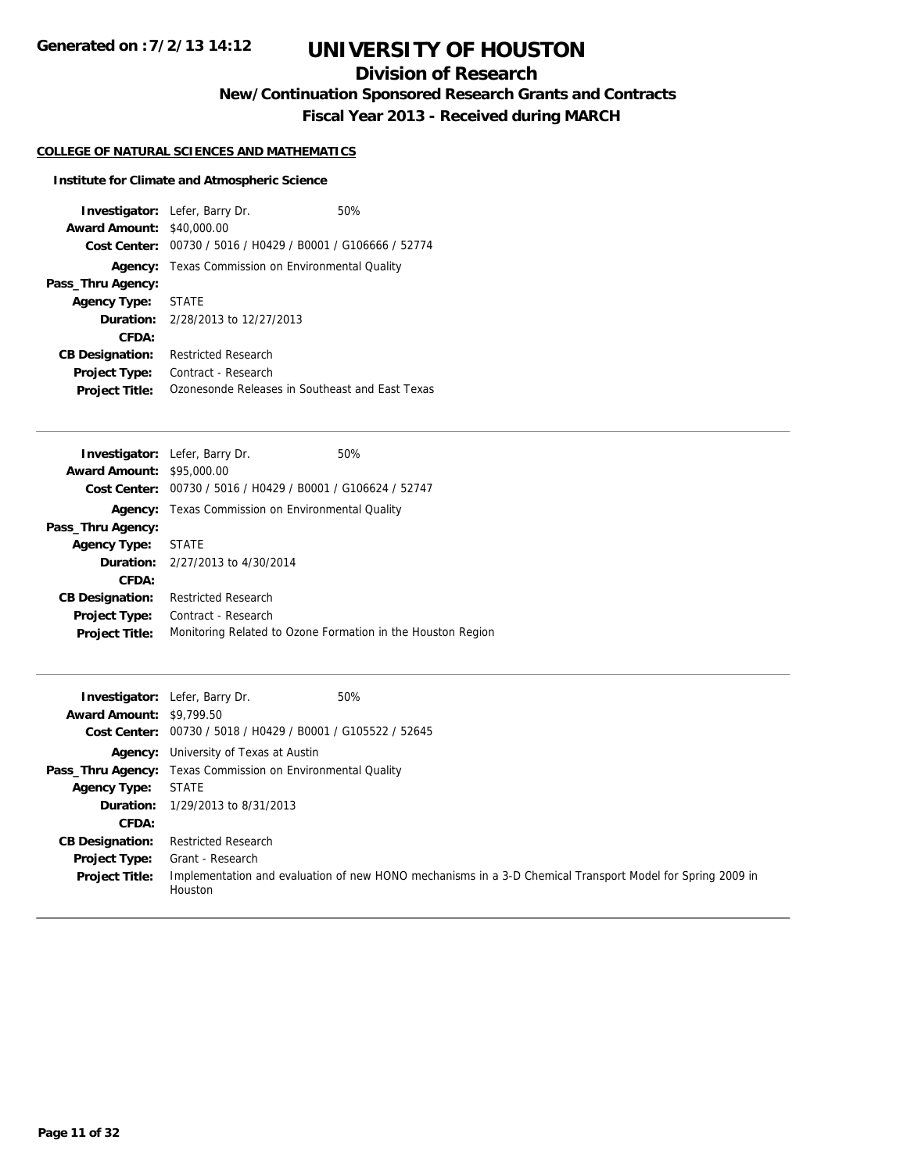## **Division of Research**

**New/Continuation Sponsored Research Grants and Contracts**

**Fiscal Year 2013 - Received during MARCH**

## **COLLEGE OF NATURAL SCIENCES AND MATHEMATICS**

## **Institute for Climate and Atmospheric Science**

| <b>Award Amount:</b>   | <b>Investigator:</b> Lefer, Barry Dr.<br>\$40,000.00        | 50% |  |
|------------------------|-------------------------------------------------------------|-----|--|
|                        | Cost Center: 00730 / 5016 / H0429 / B0001 / G106666 / 52774 |     |  |
| Agency:                | Texas Commission on Environmental Quality                   |     |  |
| Pass_Thru Agency:      |                                                             |     |  |
| <b>Agency Type:</b>    | STATE                                                       |     |  |
|                        | <b>Duration:</b> $2/28/2013$ to $12/27/2013$                |     |  |
| CFDA:                  |                                                             |     |  |
| <b>CB Designation:</b> | <b>Restricted Research</b>                                  |     |  |
| <b>Project Type:</b>   | Contract - Research                                         |     |  |
| <b>Project Title:</b>  | Ozonesonde Releases in Southeast and East Texas             |     |  |

|                                  | <b>Investigator:</b> Lefer, Barry Dr.                       | 50% |
|----------------------------------|-------------------------------------------------------------|-----|
| <b>Award Amount: \$95,000.00</b> |                                                             |     |
|                                  | Cost Center: 00730 / 5016 / H0429 / B0001 / G106624 / 52747 |     |
|                                  | <b>Agency:</b> Texas Commission on Environmental Quality    |     |
| Pass_Thru Agency:                |                                                             |     |
| <b>Agency Type: STATE</b>        |                                                             |     |
|                                  | <b>Duration:</b> 2/27/2013 to 4/30/2014                     |     |
| <b>CFDA:</b>                     |                                                             |     |
| <b>CB Designation:</b>           | <b>Restricted Research</b>                                  |     |
| Project Type:                    | Contract - Research                                         |     |
| <b>Project Title:</b>            | Monitoring Related to Ozone Formation in the Houston Region |     |
|                                  |                                                             |     |

| <b>Award Amount: \$9,799.50</b> | 50%<br><b>Investigator:</b> Lefer, Barry Dr.<br>Cost Center: 00730 / 5018 / H0429 / B0001 / G105522 / 52645          |  |  |
|---------------------------------|----------------------------------------------------------------------------------------------------------------------|--|--|
|                                 | <b>Agency:</b> University of Texas at Austin                                                                         |  |  |
|                                 | <b>Pass_Thru Agency:</b> Texas Commission on Environmental Quality                                                   |  |  |
| <b>Agency Type:</b>             | <b>STATE</b>                                                                                                         |  |  |
|                                 | <b>Duration:</b> $1/29/2013$ to $8/31/2013$                                                                          |  |  |
| CFDA:                           |                                                                                                                      |  |  |
| <b>CB Designation:</b>          | <b>Restricted Research</b>                                                                                           |  |  |
| <b>Project Type:</b>            | Grant - Research                                                                                                     |  |  |
| <b>Project Title:</b>           | Implementation and evaluation of new HONO mechanisms in a 3-D Chemical Transport Model for Spring 2009 in<br>Houston |  |  |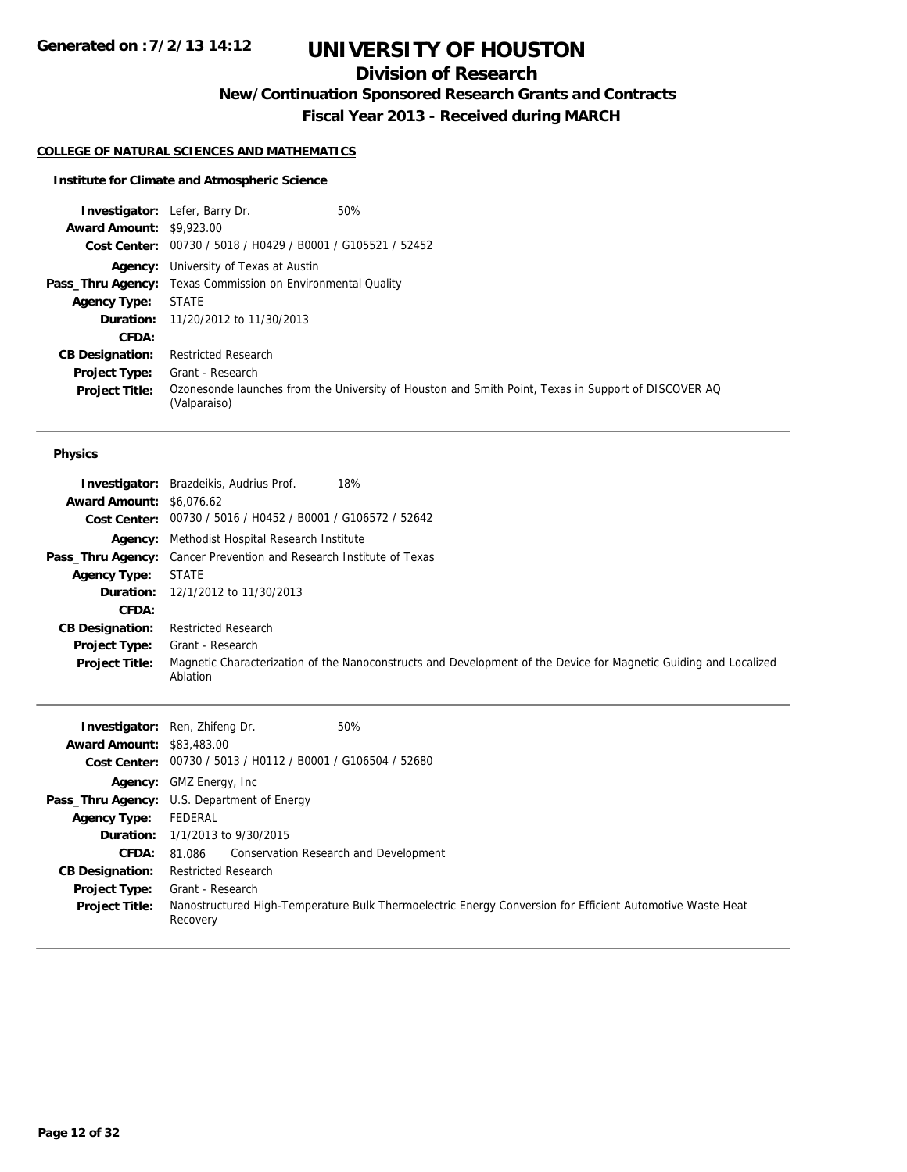## **Division of Research**

**New/Continuation Sponsored Research Grants and Contracts**

**Fiscal Year 2013 - Received during MARCH**

## **COLLEGE OF NATURAL SCIENCES AND MATHEMATICS**

## **Institute for Climate and Atmospheric Science**

|                                 | <b>Investigator:</b> Lefer, Barry Dr.                              | 50%                                                                                                 |  |
|---------------------------------|--------------------------------------------------------------------|-----------------------------------------------------------------------------------------------------|--|
| <b>Award Amount: \$9,923.00</b> |                                                                    |                                                                                                     |  |
|                                 | Cost Center: 00730 / 5018 / H0429 / B0001 / G105521 / 52452        |                                                                                                     |  |
|                                 | <b>Agency:</b> University of Texas at Austin                       |                                                                                                     |  |
|                                 | <b>Pass_Thru Agency:</b> Texas Commission on Environmental Quality |                                                                                                     |  |
| <b>Agency Type:</b>             | STATE                                                              |                                                                                                     |  |
|                                 | <b>Duration:</b> 11/20/2012 to 11/30/2013                          |                                                                                                     |  |
| CFDA:                           |                                                                    |                                                                                                     |  |
| <b>CB Designation:</b>          | <b>Restricted Research</b>                                         |                                                                                                     |  |
| Project Type:                   | Grant - Research                                                   |                                                                                                     |  |
| <b>Project Title:</b>           | (Valparaiso)                                                       | Ozonesonde launches from the University of Houston and Smith Point, Texas in Support of DISCOVER AQ |  |

#### **Physics**

|                                 | 18%<br><b>Investigator:</b> Brazdeikis, Audrius Prof.                                                                        |  |  |
|---------------------------------|------------------------------------------------------------------------------------------------------------------------------|--|--|
| <b>Award Amount: \$6,076.62</b> |                                                                                                                              |  |  |
|                                 | Cost Center: 00730 / 5016 / H0452 / B0001 / G106572 / 52642                                                                  |  |  |
|                                 | <b>Agency:</b> Methodist Hospital Research Institute                                                                         |  |  |
|                                 | <b>Pass_Thru Agency:</b> Cancer Prevention and Research Institute of Texas                                                   |  |  |
| <b>Agency Type:</b>             | <b>STATE</b>                                                                                                                 |  |  |
|                                 | <b>Duration:</b> 12/1/2012 to 11/30/2013                                                                                     |  |  |
| CFDA:                           |                                                                                                                              |  |  |
| <b>CB Designation:</b>          | <b>Restricted Research</b>                                                                                                   |  |  |
| <b>Project Type:</b>            | Grant - Research                                                                                                             |  |  |
| <b>Project Title:</b>           | Magnetic Characterization of the Nanoconstructs and Development of the Device for Magnetic Guiding and Localized<br>Ablation |  |  |

| <b>Award Amount: \$83,483,00</b> | 50%<br><b>Investigator:</b> Ren, Zhifeng Dr.<br>Cost Center: 00730 / 5013 / H0112 / B0001 / G106504 / 52680           |  |  |
|----------------------------------|-----------------------------------------------------------------------------------------------------------------------|--|--|
|                                  | <b>Agency:</b> GMZ Energy, Inc.                                                                                       |  |  |
|                                  | <b>Pass_Thru Agency:</b> U.S. Department of Energy                                                                    |  |  |
| <b>Agency Type:</b>              | FEDERAL                                                                                                               |  |  |
|                                  | <b>Duration:</b> 1/1/2013 to 9/30/2015                                                                                |  |  |
| <b>CFDA:</b>                     | 81.086 Conservation Research and Development                                                                          |  |  |
| <b>CB Designation:</b>           | <b>Restricted Research</b>                                                                                            |  |  |
| <b>Project Type:</b>             | Grant - Research                                                                                                      |  |  |
| <b>Project Title:</b>            | Nanostructured High-Temperature Bulk Thermoelectric Energy Conversion for Efficient Automotive Waste Heat<br>Recovery |  |  |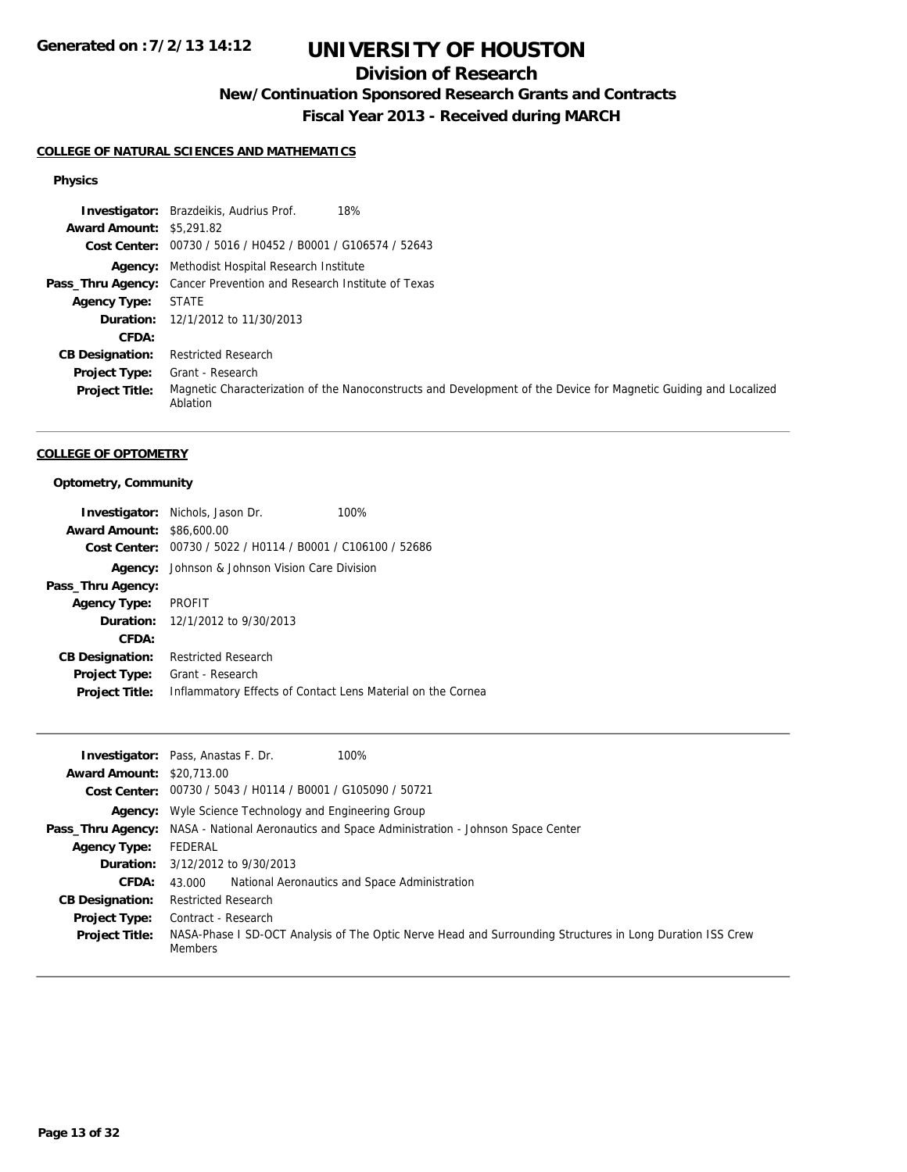## **Division of Research**

**New/Continuation Sponsored Research Grants and Contracts**

**Fiscal Year 2013 - Received during MARCH**

### **COLLEGE OF NATURAL SCIENCES AND MATHEMATICS**

### **Physics**

| Investigator:                   | Brazdeikis, Audrius Prof.<br>18%                                                                                             |  |  |
|---------------------------------|------------------------------------------------------------------------------------------------------------------------------|--|--|
| <b>Award Amount: \$5,291.82</b> |                                                                                                                              |  |  |
|                                 | Cost Center: 00730 / 5016 / H0452 / B0001 / G106574 / 52643                                                                  |  |  |
|                                 | <b>Agency:</b> Methodist Hospital Research Institute                                                                         |  |  |
|                                 | <b>Pass_Thru Agency:</b> Cancer Prevention and Research Institute of Texas                                                   |  |  |
| <b>Agency Type:</b>             | <b>STATE</b>                                                                                                                 |  |  |
|                                 | <b>Duration:</b> 12/1/2012 to 11/30/2013                                                                                     |  |  |
| CFDA:                           |                                                                                                                              |  |  |
| <b>CB Designation:</b>          | <b>Restricted Research</b>                                                                                                   |  |  |
| <b>Project Type:</b>            | Grant - Research                                                                                                             |  |  |
| <b>Project Title:</b>           | Magnetic Characterization of the Nanoconstructs and Development of the Device for Magnetic Guiding and Localized<br>Ablation |  |  |

#### **COLLEGE OF OPTOMETRY**

## **Optometry, Community**

|                                  | <b>Investigator:</b> Nichols, Jason Dr.                     | 100%                                                        |
|----------------------------------|-------------------------------------------------------------|-------------------------------------------------------------|
| <b>Award Amount: \$86,600.00</b> |                                                             |                                                             |
|                                  | Cost Center: 00730 / 5022 / H0114 / B0001 / C106100 / 52686 |                                                             |
| Agency:                          | Johnson & Johnson Vision Care Division                      |                                                             |
| Pass_Thru Agency:                |                                                             |                                                             |
| <b>Agency Type:</b>              | PROFIT                                                      |                                                             |
|                                  | <b>Duration:</b> 12/1/2012 to 9/30/2013                     |                                                             |
| CFDA:                            |                                                             |                                                             |
| <b>CB Designation:</b>           | <b>Restricted Research</b>                                  |                                                             |
| Project Type:                    | Grant - Research                                            |                                                             |
| <b>Project Title:</b>            |                                                             | Inflammatory Effects of Contact Lens Material on the Cornea |

|                                  | <b>Investigator:</b> Pass, Anastas F. Dr.<br>100%                                                                           |  |  |
|----------------------------------|-----------------------------------------------------------------------------------------------------------------------------|--|--|
| <b>Award Amount: \$20,713.00</b> |                                                                                                                             |  |  |
|                                  | <b>Cost Center:</b> $00730 / 5043 / 40114 / 80001 / 6105090 / 50721$                                                        |  |  |
|                                  | <b>Agency:</b> Wyle Science Technology and Engineering Group                                                                |  |  |
|                                  | <b>Pass_Thru Agency:</b> NASA - National Aeronautics and Space Administration - Johnson Space Center                        |  |  |
| <b>Agency Type:</b>              | FEDERAL                                                                                                                     |  |  |
|                                  | <b>Duration:</b> $3/12/2012$ to $9/30/2013$                                                                                 |  |  |
| <b>CFDA:</b>                     | National Aeronautics and Space Administration<br>43.000                                                                     |  |  |
| <b>CB Designation:</b>           | <b>Restricted Research</b>                                                                                                  |  |  |
| Project Type:                    | Contract - Research                                                                                                         |  |  |
| <b>Project Title:</b>            | NASA-Phase I SD-OCT Analysis of The Optic Nerve Head and Surrounding Structures in Long Duration ISS Crew<br><b>Members</b> |  |  |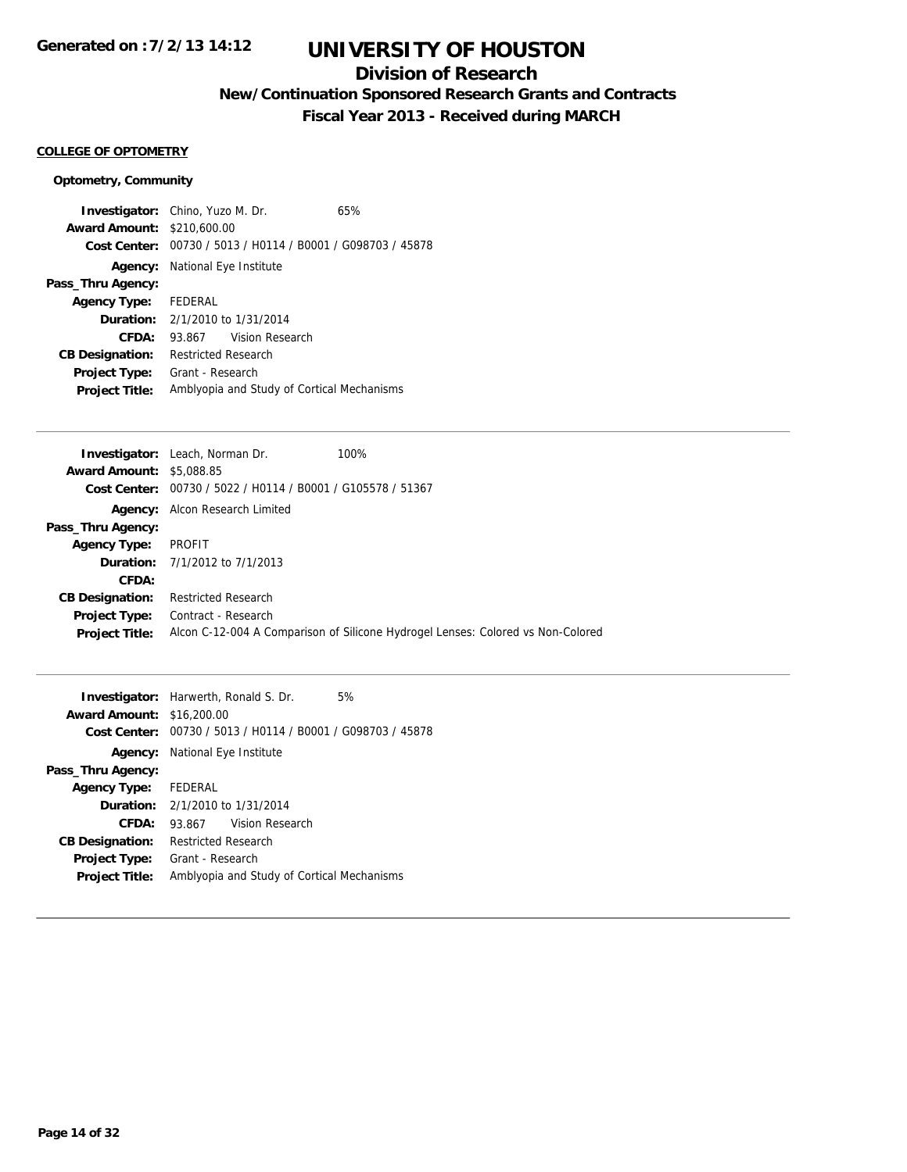## **Division of Research**

**New/Continuation Sponsored Research Grants and Contracts**

**Fiscal Year 2013 - Received during MARCH**

### **COLLEGE OF OPTOMETRY**

## **Optometry, Community**

|                        | <b>Investigator:</b> Chino, Yuzo M. Dr.    | 65%                                            |  |  |
|------------------------|--------------------------------------------|------------------------------------------------|--|--|
| <b>Award Amount:</b>   | \$210,600.00                               |                                                |  |  |
| Cost Center:           |                                            | 00730 / 5013 / H0114 / B0001 / G098703 / 45878 |  |  |
| Agency:                | National Eye Institute                     |                                                |  |  |
| Pass_Thru Agency:      |                                            |                                                |  |  |
| <b>Agency Type:</b>    | FEDERAL                                    |                                                |  |  |
|                        | <b>Duration:</b> $2/1/2010$ to $1/31/2014$ |                                                |  |  |
| CFDA:                  | Vision Research<br>93.867                  |                                                |  |  |
| <b>CB Designation:</b> | Restricted Research                        |                                                |  |  |
| <b>Project Type:</b>   | Grant - Research                           |                                                |  |  |
| <b>Project Title:</b>  | Amblyopia and Study of Cortical Mechanisms |                                                |  |  |

| <b>Investigator:</b> Leach, Norman Dr.<br>100%                                  |
|---------------------------------------------------------------------------------|
| <b>Award Amount: \$5,088.85</b>                                                 |
| <b>Cost Center:</b> $00730 / 5022 / 10114 / 10001 / 10105578 / 51367$           |
| <b>Agency:</b> Alcon Research Limited                                           |
|                                                                                 |
| PROFIT                                                                          |
| <b>Duration:</b> 7/1/2012 to 7/1/2013                                           |
|                                                                                 |
| <b>Restricted Research</b>                                                      |
| Contract - Research                                                             |
| Alcon C-12-004 A Comparison of Silicone Hydrogel Lenses: Colored vs Non-Colored |
|                                                                                 |

|                                  | <b>Investigator:</b> Harwerth, Ronald S. Dr. | 5%                                                          |
|----------------------------------|----------------------------------------------|-------------------------------------------------------------|
| <b>Award Amount: \$16,200.00</b> |                                              |                                                             |
|                                  |                                              | Cost Center: 00730 / 5013 / H0114 / B0001 / G098703 / 45878 |
|                                  | <b>Agency:</b> National Eye Institute        |                                                             |
| Pass_Thru Agency:                |                                              |                                                             |
| <b>Agency Type:</b> FEDERAL      |                                              |                                                             |
|                                  | <b>Duration:</b> $2/1/2010$ to $1/31/2014$   |                                                             |
| CFDA:                            | 93.867 Vision Research                       |                                                             |
| <b>CB Designation:</b>           | <b>Restricted Research</b>                   |                                                             |
| <b>Project Type:</b>             | Grant - Research                             |                                                             |
| <b>Project Title:</b>            | Amblyopia and Study of Cortical Mechanisms   |                                                             |
|                                  |                                              |                                                             |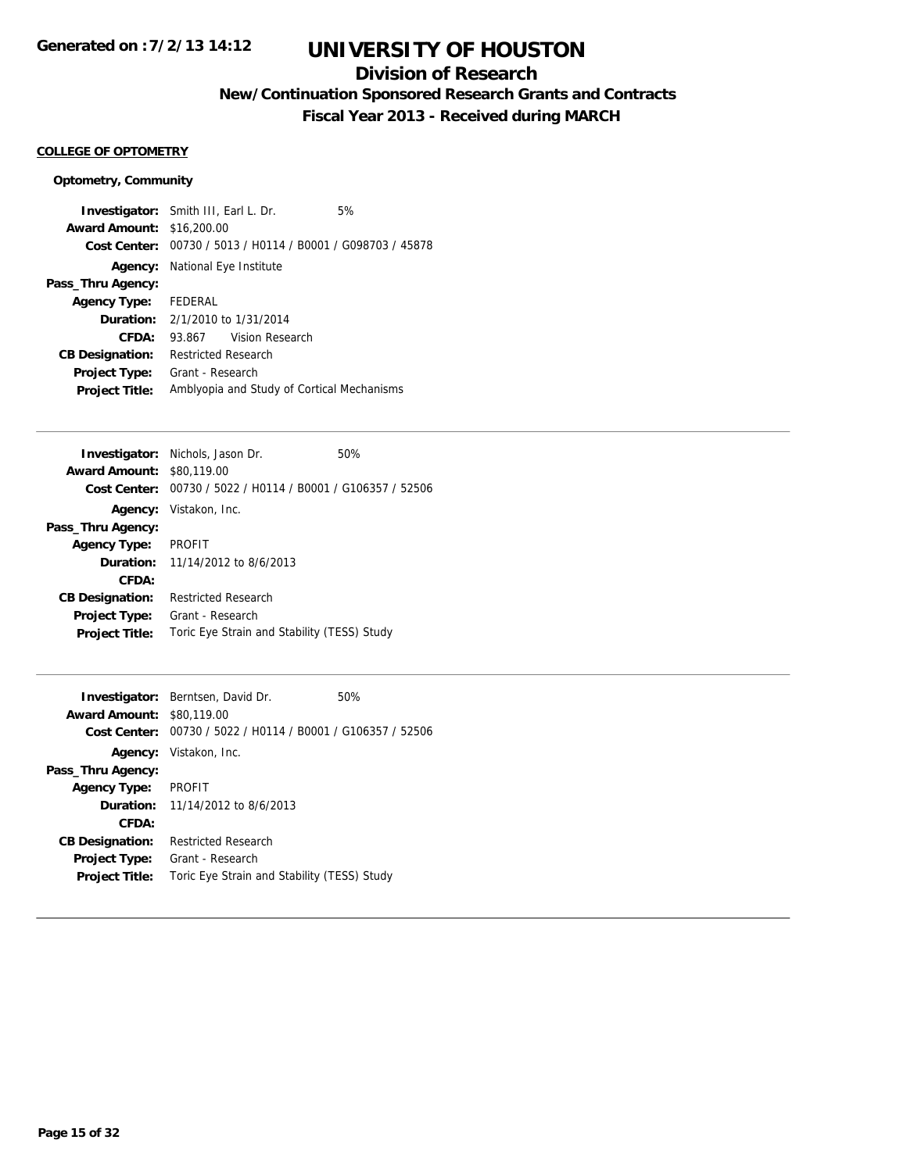## **Division of Research**

**New/Continuation Sponsored Research Grants and Contracts**

**Fiscal Year 2013 - Received during MARCH**

## **COLLEGE OF OPTOMETRY**

#### **Optometry, Community**

**Investigator:** Smith III, Earl L. Dr. 5% **Award Amount:** \$16,200.00 **Cost Center:** 00730 / 5013 / H0114 / B0001 / G098703 / 45878 **Agency:** National Eye Institute **Pass\_Thru Agency: Agency Type:** FEDERAL **Duration:** 2/1/2010 to 1/31/2014 **CFDA:** 93.867 Vision Research **CB Designation:** Restricted Research **Project Type:** Grant - Research **Project Title:** Amblyopia and Study of Cortical Mechanisms

| <b>Investigator:</b> Nichols, Jason Dr.        | 50% |
|------------------------------------------------|-----|
| <b>Award Amount:</b><br>\$80,119,00            |     |
| 00730 / 5022 / H0114 / B0001 / G106357 / 52506 |     |
| Vistakon, Inc.                                 |     |
|                                                |     |
| <b>PROFIT</b>                                  |     |
| <b>Duration:</b> 11/14/2012 to 8/6/2013        |     |
|                                                |     |
| Restricted Research                            |     |
| Grant - Research                               |     |
| Toric Eye Strain and Stability (TESS) Study    |     |
|                                                |     |

|                        | <b>Investigator:</b> Berntsen, David Dr.       | 50% |
|------------------------|------------------------------------------------|-----|
| <b>Award Amount:</b>   | \$80,119,00                                    |     |
| Cost Center:           | 00730 / 5022 / H0114 / B0001 / G106357 / 52506 |     |
|                        | Agency: Vistakon, Inc.                         |     |
| Pass_Thru Agency:      |                                                |     |
| <b>Agency Type:</b>    | <b>PROFIT</b>                                  |     |
|                        | <b>Duration:</b> 11/14/2012 to 8/6/2013        |     |
| CFDA:                  |                                                |     |
| <b>CB Designation:</b> | Restricted Research                            |     |
| <b>Project Type:</b>   | Grant - Research                               |     |
| <b>Project Title:</b>  | Toric Eye Strain and Stability (TESS) Study    |     |
|                        |                                                |     |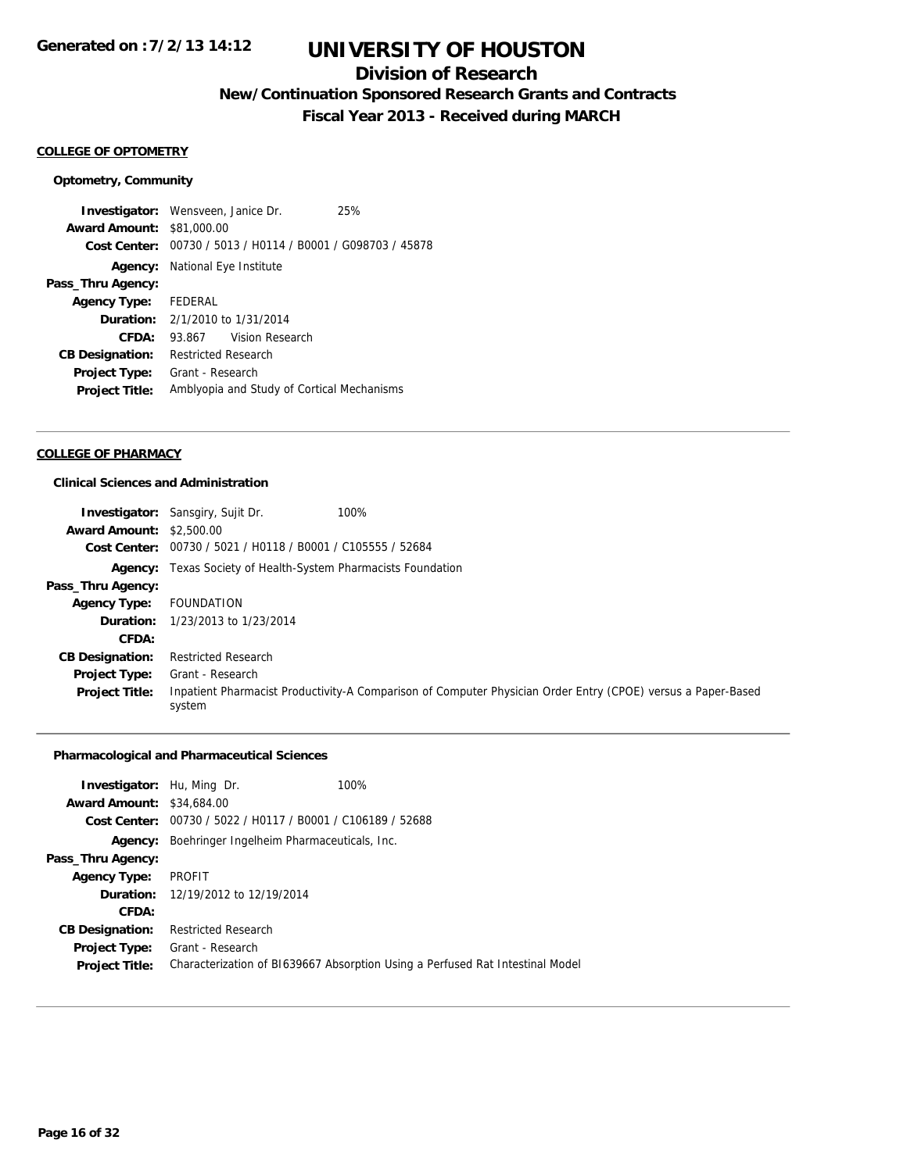## **Division of Research**

**New/Continuation Sponsored Research Grants and Contracts**

**Fiscal Year 2013 - Received during MARCH**

## **COLLEGE OF OPTOMETRY**

#### **Optometry, Community**

**Investigator:** Wensveen, Janice Dr. 25% **Award Amount:** \$81,000.00 **Cost Center:** 00730 / 5013 / H0114 / B0001 / G098703 / 45878 **Agency:** National Eye Institute **Pass\_Thru Agency: Agency Type:** FEDERAL **Duration:** 2/1/2010 to 1/31/2014 **CFDA:** 93.867 Vision Research **CB Designation:** Restricted Research **Project Type:** Grant - Research **Project Title:** Amblyopia and Study of Cortical Mechanisms

### **COLLEGE OF PHARMACY**

#### **Clinical Sciences and Administration**

|                                 | 100%<br><b>Investigator:</b> Sansgiry, Sujit Dr.                     |                                                                                                              |
|---------------------------------|----------------------------------------------------------------------|--------------------------------------------------------------------------------------------------------------|
| <b>Award Amount: \$2,500.00</b> |                                                                      |                                                                                                              |
|                                 | Cost Center: 00730 / 5021 / H0118 / B0001 / C105555 / 52684          |                                                                                                              |
|                                 | <b>Agency:</b> Texas Society of Health-System Pharmacists Foundation |                                                                                                              |
| Pass_Thru Agency:               |                                                                      |                                                                                                              |
| <b>Agency Type:</b>             | FOUNDATION                                                           |                                                                                                              |
|                                 | <b>Duration:</b> 1/23/2013 to 1/23/2014                              |                                                                                                              |
| CFDA:                           |                                                                      |                                                                                                              |
| <b>CB Designation:</b>          | <b>Restricted Research</b>                                           |                                                                                                              |
| <b>Project Type:</b>            | Grant - Research                                                     |                                                                                                              |
| <b>Project Title:</b>           | system                                                               | Inpatient Pharmacist Productivity-A Comparison of Computer Physician Order Entry (CPOE) versus a Paper-Based |

## **Pharmacological and Pharmaceutical Sciences**

|                                                             | 100%                                                                                                                                   |
|-------------------------------------------------------------|----------------------------------------------------------------------------------------------------------------------------------------|
|                                                             |                                                                                                                                        |
| Cost Center: 00730 / 5022 / H0117 / B0001 / C106189 / 52688 |                                                                                                                                        |
| Boehringer Ingelheim Pharmaceuticals, Inc.                  |                                                                                                                                        |
|                                                             |                                                                                                                                        |
| PROFIT                                                      |                                                                                                                                        |
|                                                             |                                                                                                                                        |
|                                                             |                                                                                                                                        |
| <b>Restricted Research</b>                                  |                                                                                                                                        |
|                                                             |                                                                                                                                        |
|                                                             | Characterization of B1639667 Absorption Using a Perfused Rat Intestinal Model                                                          |
|                                                             | <b>Investigator:</b> Hu, Ming Dr.<br><b>Award Amount: \$34,684.00</b><br><b>Duration:</b> 12/19/2012 to 12/19/2014<br>Grant - Research |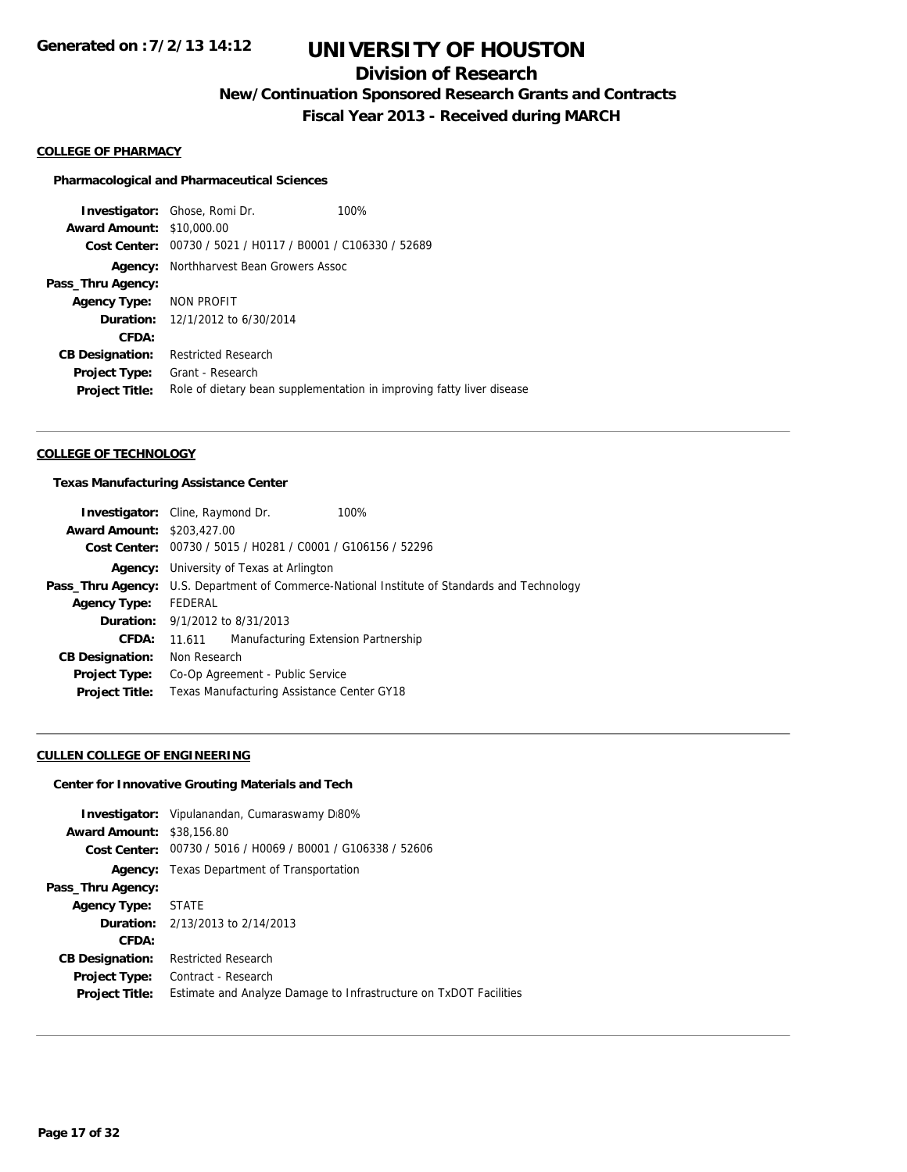## **Division of Research**

**New/Continuation Sponsored Research Grants and Contracts**

**Fiscal Year 2013 - Received during MARCH**

#### **COLLEGE OF PHARMACY**

#### **Pharmacological and Pharmaceutical Sciences**

**Investigator:** Ghose, Romi Dr. 100% **Award Amount:** \$10,000.00 **Cost Center:** 00730 / 5021 / H0117 / B0001 / C106330 / 52689 **Agency:** Northharvest Bean Growers Assoc **Pass\_Thru Agency: Agency Type:** NON PROFIT **Duration:** 12/1/2012 to 6/30/2014 **CFDA: CB Designation:** Restricted Research **Project Type:** Grant - Research Project Title: Role of dietary bean supplementation in improving fatty liver disease

#### **COLLEGE OF TECHNOLOGY**

#### **Texas Manufacturing Assistance Center**

| <b>Investigator:</b> Cline, Raymond Dr. |                                                                                                     |                                     | 100% |
|-----------------------------------------|-----------------------------------------------------------------------------------------------------|-------------------------------------|------|
| <b>Award Amount: \$203,427.00</b>       |                                                                                                     |                                     |      |
|                                         | Cost Center: 00730 / 5015 / H0281 / C0001 / G106156 / 52296                                         |                                     |      |
| Agency:                                 | University of Texas at Arlington                                                                    |                                     |      |
|                                         | <b>Pass_Thru Agency:</b> U.S. Department of Commerce-National Institute of Standards and Technology |                                     |      |
| <b>Agency Type:</b>                     | <b>FEDERAL</b>                                                                                      |                                     |      |
|                                         | <b>Duration:</b> 9/1/2012 to 8/31/2013                                                              |                                     |      |
| CFDA:                                   | 11.611                                                                                              | Manufacturing Extension Partnership |      |
| <b>CB Designation:</b>                  | Non Research                                                                                        |                                     |      |
| <b>Project Type:</b>                    |                                                                                                     | Co-Op Agreement - Public Service    |      |
| <b>Project Title:</b>                   | Texas Manufacturing Assistance Center GY18                                                          |                                     |      |

#### **CULLEN COLLEGE OF ENGINEERING**

#### **Center for Innovative Grouting Materials and Tech**

|                                  | <b>Investigator:</b> Vipulanandan, Cumaraswamy D80%               |  |  |
|----------------------------------|-------------------------------------------------------------------|--|--|
| <b>Award Amount: \$38,156.80</b> |                                                                   |  |  |
|                                  | Cost Center: 00730 / 5016 / H0069 / B0001 / G106338 / 52606       |  |  |
|                                  | <b>Agency:</b> Texas Department of Transportation                 |  |  |
| Pass_Thru Agency:                |                                                                   |  |  |
| <b>Agency Type:</b>              | STATE                                                             |  |  |
|                                  | <b>Duration:</b> 2/13/2013 to 2/14/2013                           |  |  |
| CFDA:                            |                                                                   |  |  |
| <b>CB Designation:</b>           | <b>Restricted Research</b>                                        |  |  |
| <b>Project Type:</b>             | Contract - Research                                               |  |  |
| <b>Project Title:</b>            | Estimate and Analyze Damage to Infrastructure on TxDOT Facilities |  |  |
|                                  |                                                                   |  |  |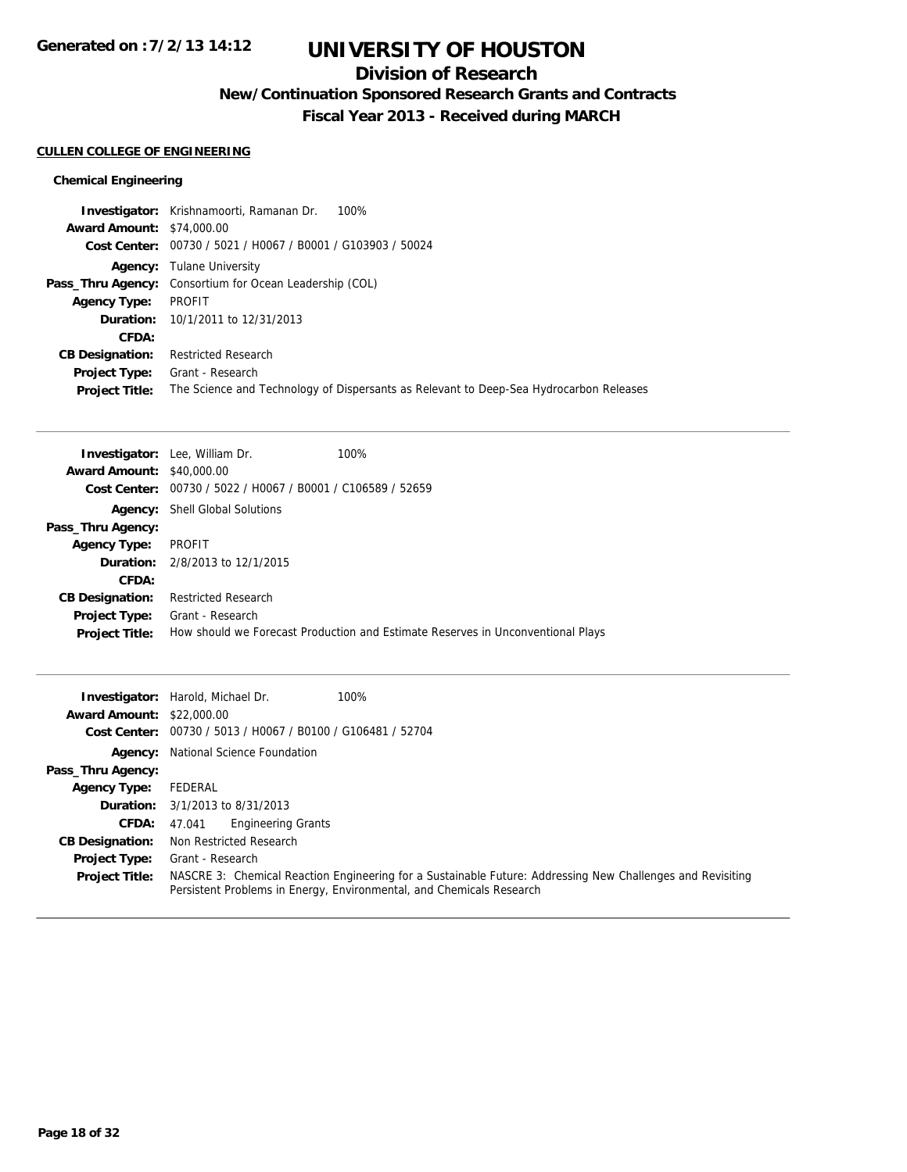## **Division of Research**

**New/Continuation Sponsored Research Grants and Contracts**

**Fiscal Year 2013 - Received during MARCH**

### **CULLEN COLLEGE OF ENGINEERING**

## **Chemical Engineering**

|                                  | 100%<br><b>Investigator:</b> Krishnamoorti, Ramanan Dr.                                |
|----------------------------------|----------------------------------------------------------------------------------------|
| <b>Award Amount: \$74,000.00</b> |                                                                                        |
|                                  | Cost Center: 00730 / 5021 / H0067 / B0001 / G103903 / 50024                            |
|                                  | <b>Agency:</b> Tulane University                                                       |
|                                  | <b>Pass_Thru Agency:</b> Consortium for Ocean Leadership (COL)                         |
| <b>Agency Type:</b>              | PROFIT                                                                                 |
|                                  | <b>Duration:</b> 10/1/2011 to 12/31/2013                                               |
| CFDA:                            |                                                                                        |
| <b>CB Designation:</b>           | <b>Restricted Research</b>                                                             |
| <b>Project Type:</b>             | Grant - Research                                                                       |
| <b>Project Title:</b>            | The Science and Technology of Dispersants as Relevant to Deep-Sea Hydrocarbon Releases |

|                                  | <b>Investigator:</b> Lee, William Dr.                       | 100%                                                                            |
|----------------------------------|-------------------------------------------------------------|---------------------------------------------------------------------------------|
| <b>Award Amount: \$40,000.00</b> |                                                             |                                                                                 |
|                                  | Cost Center: 00730 / 5022 / H0067 / B0001 / C106589 / 52659 |                                                                                 |
|                                  | <b>Agency:</b> Shell Global Solutions                       |                                                                                 |
| Pass_Thru Agency:                |                                                             |                                                                                 |
| <b>Agency Type:</b>              | PROFIT                                                      |                                                                                 |
|                                  | <b>Duration:</b> $2/8/2013$ to $12/1/2015$                  |                                                                                 |
| CFDA:                            |                                                             |                                                                                 |
| <b>CB Designation:</b>           | <b>Restricted Research</b>                                  |                                                                                 |
| Project Type:                    | Grant - Research                                            |                                                                                 |
| <b>Project Title:</b>            |                                                             | How should we Forecast Production and Estimate Reserves in Unconventional Plays |

|                                  | <b>Investigator:</b> Harold, Michael Dr.<br>100%                                                                                                                                   |
|----------------------------------|------------------------------------------------------------------------------------------------------------------------------------------------------------------------------------|
| <b>Award Amount: \$22,000.00</b> |                                                                                                                                                                                    |
|                                  | Cost Center: 00730 / 5013 / H0067 / B0100 / G106481 / 52704                                                                                                                        |
|                                  | <b>Agency:</b> National Science Foundation                                                                                                                                         |
| Pass_Thru Agency:                |                                                                                                                                                                                    |
| <b>Agency Type:</b>              | FEDERAL                                                                                                                                                                            |
|                                  | <b>Duration:</b> $3/1/2013$ to $8/31/2013$                                                                                                                                         |
| <b>CFDA:</b>                     | <b>Engineering Grants</b><br>47.041                                                                                                                                                |
| <b>CB Designation:</b>           | Non Restricted Research                                                                                                                                                            |
| <b>Project Type:</b>             | Grant - Research                                                                                                                                                                   |
| <b>Project Title:</b>            | NASCRE 3: Chemical Reaction Engineering for a Sustainable Future: Addressing New Challenges and Revisiting<br>Persistent Problems in Energy, Environmental, and Chemicals Research |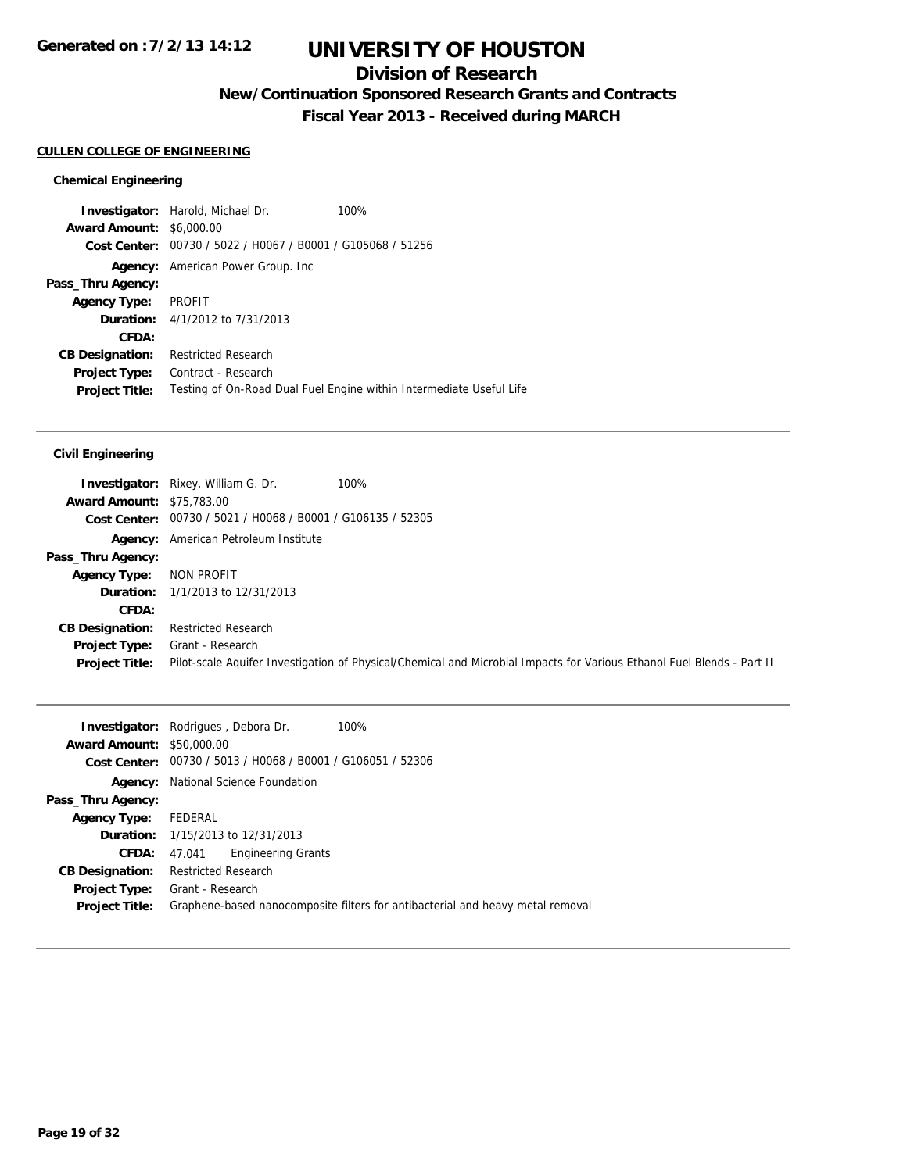## **Division of Research**

**New/Continuation Sponsored Research Grants and Contracts**

**Fiscal Year 2013 - Received during MARCH**

#### **CULLEN COLLEGE OF ENGINEERING**

#### **Chemical Engineering**

**Investigator:** Harold, Michael Dr. 100% **Award Amount:** \$6,000.00 **Cost Center:** 00730 / 5022 / H0067 / B0001 / G105068 / 51256 **Agency:** American Power Group. Inc **Pass\_Thru Agency: Agency Type:** PROFIT **Duration:** 4/1/2012 to 7/31/2013 **CFDA: CB Designation:** Restricted Research **Project Type:** Contract - Research **Project Title:** Testing of On-Road Dual Fuel Engine within Intermediate Useful Life

|                                  | <b>Investigator:</b> Rixey, William G. Dr.                  | 100%                                                                                                                   |
|----------------------------------|-------------------------------------------------------------|------------------------------------------------------------------------------------------------------------------------|
| <b>Award Amount: \$75,783.00</b> |                                                             |                                                                                                                        |
|                                  | Cost Center: 00730 / 5021 / H0068 / B0001 / G106135 / 52305 |                                                                                                                        |
|                                  | <b>Agency:</b> American Petroleum Institute                 |                                                                                                                        |
| Pass_Thru Agency:                |                                                             |                                                                                                                        |
| <b>Agency Type:</b>              | NON PROFIT                                                  |                                                                                                                        |
|                                  | <b>Duration:</b> 1/1/2013 to 12/31/2013                     |                                                                                                                        |
| CFDA:                            |                                                             |                                                                                                                        |
| <b>CB Designation:</b>           | <b>Restricted Research</b>                                  |                                                                                                                        |
| Project Type:                    | Grant - Research                                            |                                                                                                                        |
| <b>Project Title:</b>            |                                                             | Pilot-scale Aquifer Investigation of Physical/Chemical and Microbial Impacts for Various Ethanol Fuel Blends - Part II |
|                                  |                                                             |                                                                                                                        |

|                                  | <b>Investigator:</b> Rodrigues, Debora Dr.<br>100%                             |
|----------------------------------|--------------------------------------------------------------------------------|
| <b>Award Amount: \$50,000.00</b> |                                                                                |
| Cost Center:                     | 00730 / 5013 / H0068 / B0001 / G106051 / 52306                                 |
| Agency:                          | National Science Foundation                                                    |
| Pass_Thru Agency:                |                                                                                |
| <b>Agency Type:</b>              | FEDERAL                                                                        |
|                                  | <b>Duration:</b> 1/15/2013 to 12/31/2013                                       |
| CFDA:                            | <b>Engineering Grants</b><br>47.041                                            |
| <b>CB Designation:</b>           | <b>Restricted Research</b>                                                     |
| <b>Project Type:</b>             | Grant - Research                                                               |
| <b>Project Title:</b>            | Graphene-based nanocomposite filters for antibacterial and heavy metal removal |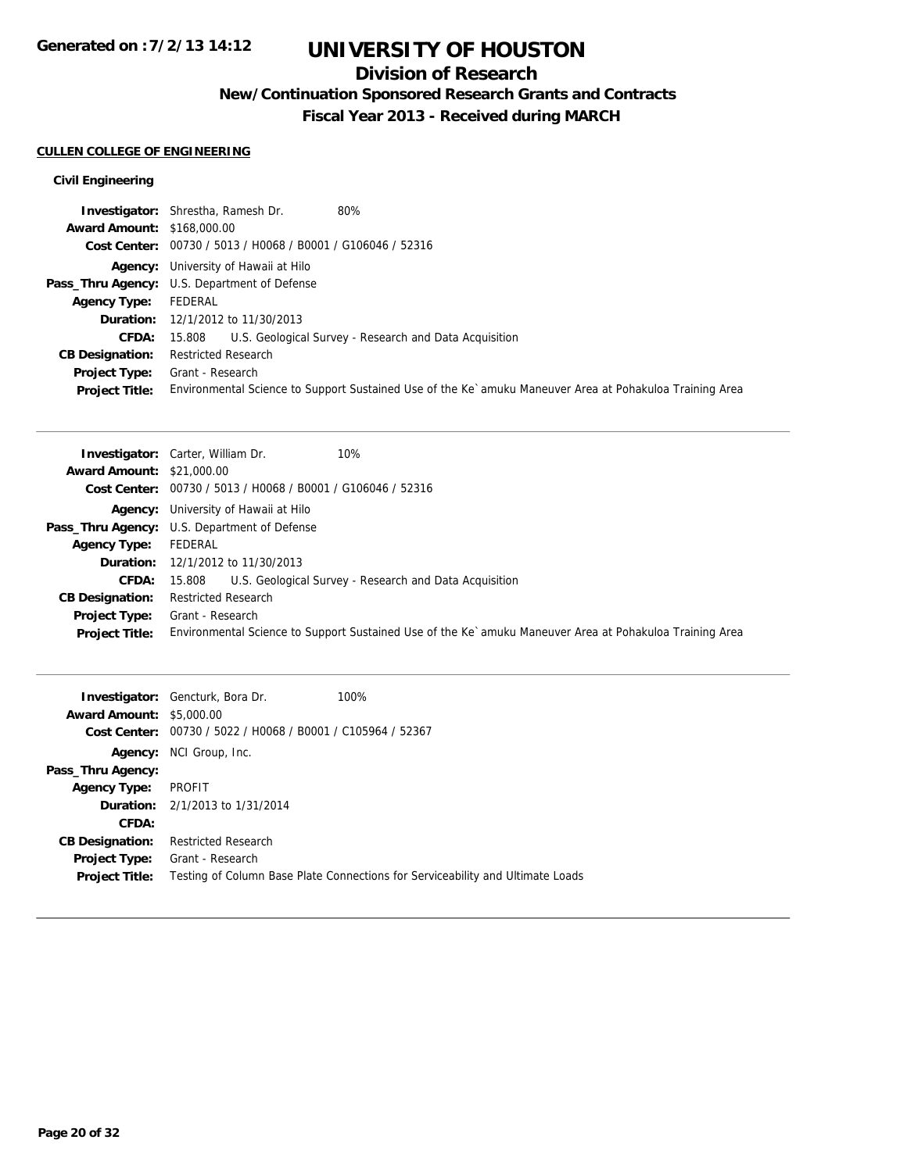## **Division of Research**

**New/Continuation Sponsored Research Grants and Contracts**

**Fiscal Year 2013 - Received during MARCH**

### **CULLEN COLLEGE OF ENGINEERING**

|                                   | 80%<br><b>Investigator:</b> Shrestha, Ramesh Dr.                                                        |
|-----------------------------------|---------------------------------------------------------------------------------------------------------|
| <b>Award Amount: \$168,000.00</b> |                                                                                                         |
|                                   | Cost Center: 00730 / 5013 / H0068 / B0001 / G106046 / 52316                                             |
|                                   | <b>Agency:</b> University of Hawaii at Hilo                                                             |
|                                   | Pass_Thru Agency: U.S. Department of Defense                                                            |
| <b>Agency Type:</b>               | FEDERAL                                                                                                 |
|                                   | <b>Duration:</b> 12/1/2012 to 11/30/2013                                                                |
| <b>CFDA:</b>                      | U.S. Geological Survey - Research and Data Acquisition<br>15.808                                        |
| <b>CB Designation:</b>            | <b>Restricted Research</b>                                                                              |
| Project Type:                     | Grant - Research                                                                                        |
| <b>Project Title:</b>             | Environmental Science to Support Sustained Use of the Ke`amuku Maneuver Area at Pohakuloa Training Area |

| 10%<br><b>Investigator:</b> Carter, William Dr.                                                         |
|---------------------------------------------------------------------------------------------------------|
| <b>Award Amount: \$21,000.00</b>                                                                        |
| Cost Center: 00730 / 5013 / H0068 / B0001 / G106046 / 52316                                             |
| <b>Agency:</b> University of Hawaii at Hilo                                                             |
| Pass_Thru Agency: U.S. Department of Defense                                                            |
| FEDERAL                                                                                                 |
| <b>Duration:</b> 12/1/2012 to 11/30/2013                                                                |
| 15.808 U.S. Geological Survey - Research and Data Acquisition                                           |
| <b>Restricted Research</b>                                                                              |
| Grant - Research                                                                                        |
| Environmental Science to Support Sustained Use of the Ke`amuku Maneuver Area at Pohakuloa Training Area |
|                                                                                                         |

| <b>Award Amount: \$5,000.00</b>               | <b>Investigator:</b> Gencturk, Bora Dr.<br>Cost Center: 00730 / 5022 / H0068 / B0001 / C105964 / 52367 | 100%                                                                           |
|-----------------------------------------------|--------------------------------------------------------------------------------------------------------|--------------------------------------------------------------------------------|
| Agency:                                       | NCI Group, Inc.                                                                                        |                                                                                |
| Pass_Thru Agency:                             |                                                                                                        |                                                                                |
| <b>Agency Type:</b>                           | PROFIT                                                                                                 |                                                                                |
|                                               | <b>Duration:</b> 2/1/2013 to 1/31/2014                                                                 |                                                                                |
| CFDA:                                         |                                                                                                        |                                                                                |
| <b>CB Designation:</b>                        | <b>Restricted Research</b>                                                                             |                                                                                |
| <b>Project Type:</b><br><b>Project Title:</b> | Grant - Research                                                                                       | Testing of Column Base Plate Connections for Serviceability and Ultimate Loads |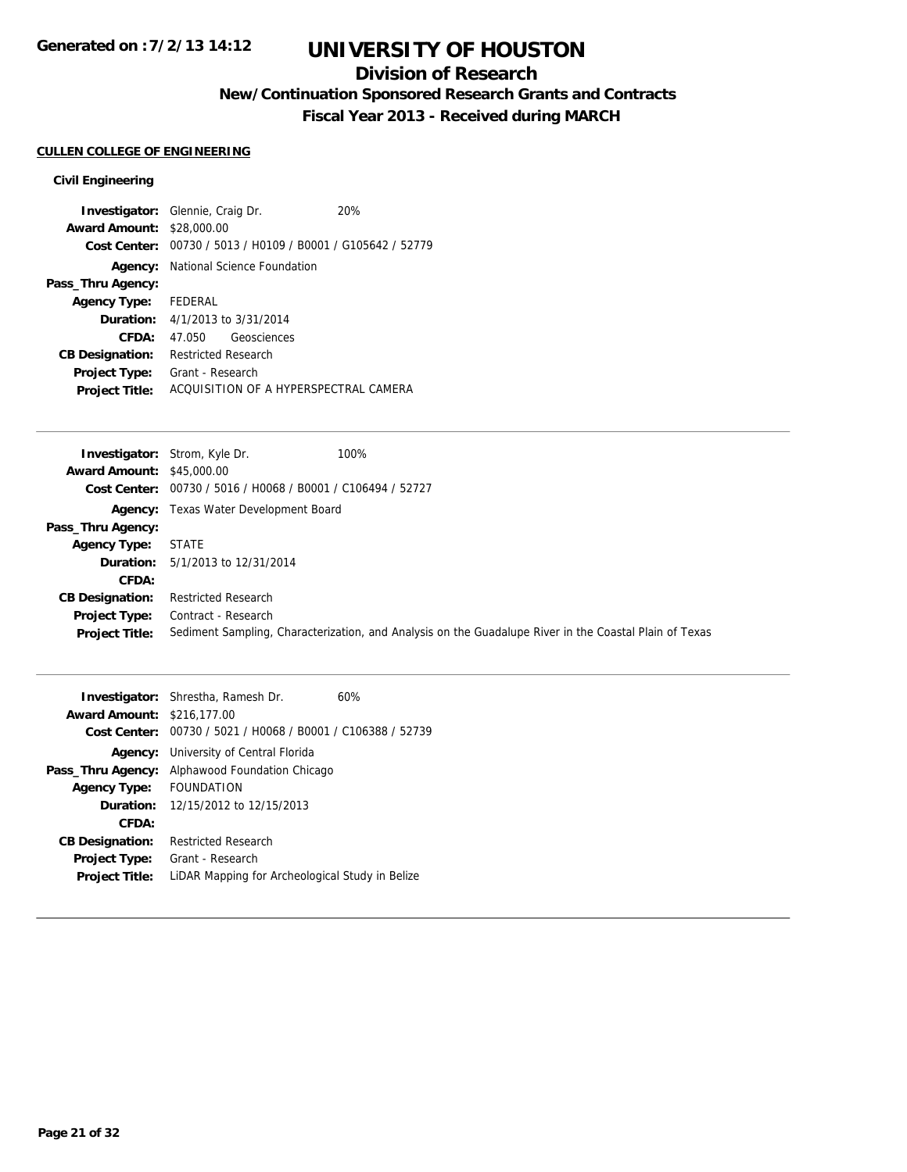## **Division of Research**

**New/Continuation Sponsored Research Grants and Contracts**

**Fiscal Year 2013 - Received during MARCH**

## **CULLEN COLLEGE OF ENGINEERING**

|                                  | <b>Investigator:</b> Glennie, Craig Dr.                     | 20% |  |
|----------------------------------|-------------------------------------------------------------|-----|--|
| <b>Award Amount: \$28,000.00</b> |                                                             |     |  |
|                                  | Cost Center: 00730 / 5013 / H0109 / B0001 / G105642 / 52779 |     |  |
|                                  | <b>Agency:</b> National Science Foundation                  |     |  |
| Pass_Thru Agency:                |                                                             |     |  |
| <b>Agency Type:</b> FEDERAL      |                                                             |     |  |
|                                  | <b>Duration:</b> 4/1/2013 to 3/31/2014                      |     |  |
| CFDA:                            | Geosciences<br>47.050                                       |     |  |
| <b>CB Designation:</b>           | <b>Restricted Research</b>                                  |     |  |
| <b>Project Type:</b>             | Grant - Research                                            |     |  |
| <b>Project Title:</b>            | ACOUISITION OF A HYPERSPECTRAL CAMERA                       |     |  |
|                                  |                                                             |     |  |

|                                  | 100%<br><b>Investigator:</b> Strom, Kyle Dr.                                                           |
|----------------------------------|--------------------------------------------------------------------------------------------------------|
| <b>Award Amount: \$45,000.00</b> |                                                                                                        |
|                                  | Cost Center: 00730 / 5016 / H0068 / B0001 / C106494 / 52727                                            |
|                                  | <b>Agency:</b> Texas Water Development Board                                                           |
| Pass_Thru Agency:                |                                                                                                        |
| <b>Agency Type:</b>              | STATE                                                                                                  |
| <b>Duration:</b>                 | 5/1/2013 to 12/31/2014                                                                                 |
| CFDA:                            |                                                                                                        |
| <b>CB Designation:</b>           | <b>Restricted Research</b>                                                                             |
| <b>Project Type:</b>             | Contract - Research                                                                                    |
| <b>Project Title:</b>            | Sediment Sampling, Characterization, and Analysis on the Guadalupe River in the Coastal Plain of Texas |
|                                  |                                                                                                        |

| <b>Award Amount: \$216,177.00</b><br>Cost Center: 00730 / 5021 / H0068 / B0001 / C106388 / 52739<br><b>Agency:</b> University of Central Florida<br>Alphawood Foundation Chicago<br>Pass_Thru Agency:<br><b>FOUNDATION</b><br><b>Agency Type:</b><br><b>Duration:</b> 12/15/2012 to 12/15/2013<br>CFDA:<br><b>Restricted Research</b><br><b>CB Designation:</b><br>Grant - Research<br><b>Project Type:</b> |                       | <b>Investigator:</b> Shrestha, Ramesh Dr.       | 60% |  |
|-------------------------------------------------------------------------------------------------------------------------------------------------------------------------------------------------------------------------------------------------------------------------------------------------------------------------------------------------------------------------------------------------------------|-----------------------|-------------------------------------------------|-----|--|
|                                                                                                                                                                                                                                                                                                                                                                                                             |                       |                                                 |     |  |
|                                                                                                                                                                                                                                                                                                                                                                                                             |                       |                                                 |     |  |
|                                                                                                                                                                                                                                                                                                                                                                                                             |                       |                                                 |     |  |
|                                                                                                                                                                                                                                                                                                                                                                                                             |                       |                                                 |     |  |
|                                                                                                                                                                                                                                                                                                                                                                                                             |                       |                                                 |     |  |
|                                                                                                                                                                                                                                                                                                                                                                                                             |                       |                                                 |     |  |
|                                                                                                                                                                                                                                                                                                                                                                                                             |                       |                                                 |     |  |
|                                                                                                                                                                                                                                                                                                                                                                                                             |                       |                                                 |     |  |
|                                                                                                                                                                                                                                                                                                                                                                                                             |                       |                                                 |     |  |
|                                                                                                                                                                                                                                                                                                                                                                                                             | <b>Project Title:</b> | LIDAR Mapping for Archeological Study in Belize |     |  |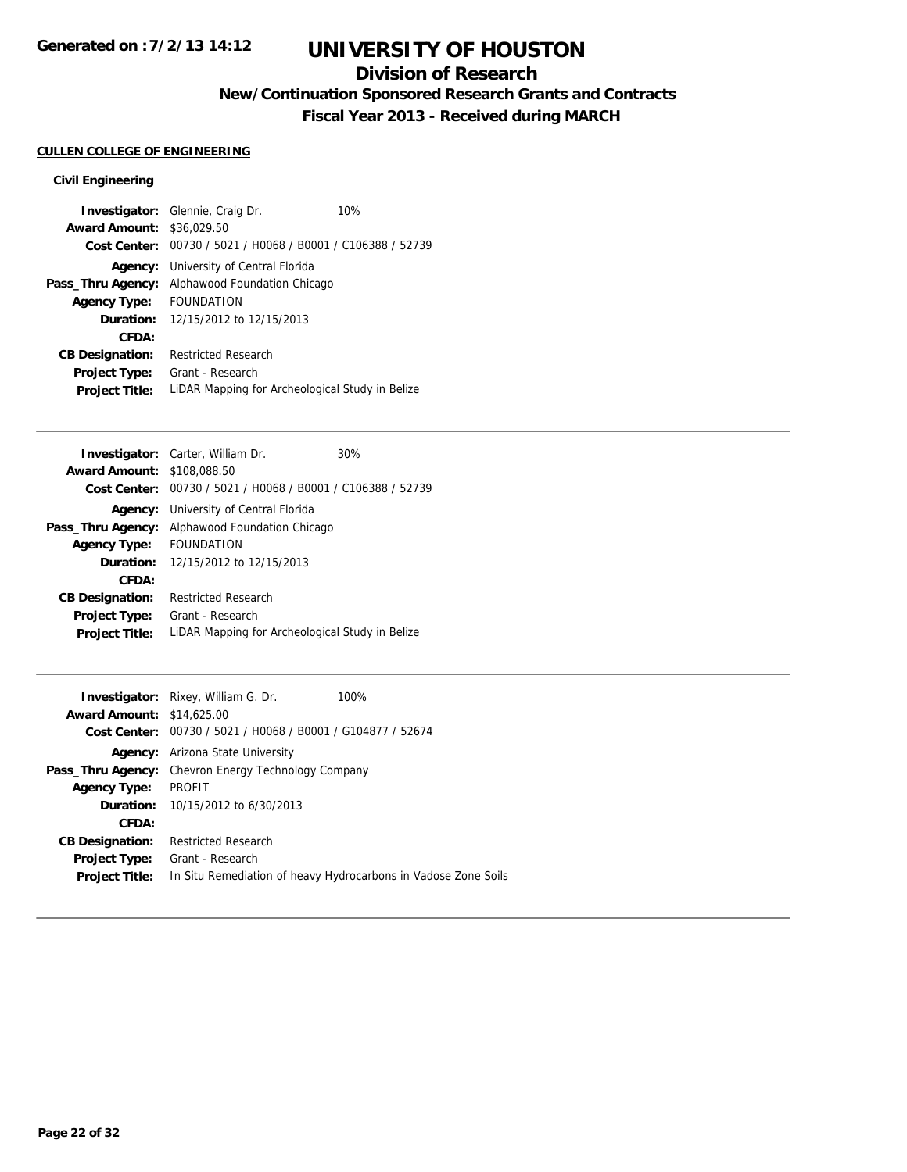## **Division of Research**

**New/Continuation Sponsored Research Grants and Contracts**

**Fiscal Year 2013 - Received during MARCH**

## **CULLEN COLLEGE OF ENGINEERING**

|                                  | <b>Investigator:</b> Glennie, Craig Dr.                     | 10% |  |
|----------------------------------|-------------------------------------------------------------|-----|--|
| <b>Award Amount: \$36,029.50</b> |                                                             |     |  |
|                                  | Cost Center: 00730 / 5021 / H0068 / B0001 / C106388 / 52739 |     |  |
|                                  | <b>Agency:</b> University of Central Florida                |     |  |
| Pass_Thru Agency:                | Alphawood Foundation Chicago                                |     |  |
| <b>Agency Type:</b>              | <b>FOUNDATION</b>                                           |     |  |
|                                  | <b>Duration:</b> 12/15/2012 to 12/15/2013                   |     |  |
| CFDA:                            |                                                             |     |  |
| <b>CB Designation:</b>           | <b>Restricted Research</b>                                  |     |  |
| <b>Project Type:</b>             | Grant - Research                                            |     |  |
| <b>Project Title:</b>            | LIDAR Mapping for Archeological Study in Belize             |     |  |

|                        | <b>Investigator:</b> Carter, William Dr.                    | 30% |
|------------------------|-------------------------------------------------------------|-----|
| <b>Award Amount:</b>   | \$108,088.50                                                |     |
|                        | Cost Center: 00730 / 5021 / H0068 / B0001 / C106388 / 52739 |     |
|                        | <b>Agency:</b> University of Central Florida                |     |
| Pass_Thru Agency:      | Alphawood Foundation Chicago                                |     |
| <b>Agency Type:</b>    | <b>FOUNDATION</b>                                           |     |
| Duration:              | 12/15/2012 to 12/15/2013                                    |     |
| CFDA:                  |                                                             |     |
| <b>CB Designation:</b> | Restricted Research                                         |     |
| Project Type:          | Grant - Research                                            |     |
| <b>Project Title:</b>  | LIDAR Mapping for Archeological Study in Belize             |     |
|                        |                                                             |     |

| <b>Investigator:</b> Rixey, William G. Dr.                  | 100%                                                           |
|-------------------------------------------------------------|----------------------------------------------------------------|
| <b>Award Amount: \$14,625,00</b>                            |                                                                |
| Cost Center: 00730 / 5021 / H0068 / B0001 / G104877 / 52674 |                                                                |
| <b>Agency:</b> Arizona State University                     |                                                                |
| <b>Pass_Thru Agency:</b> Chevron Energy Technology Company  |                                                                |
| <b>PROFIT</b>                                               |                                                                |
| <b>Duration:</b> $10/15/2012$ to $6/30/2013$                |                                                                |
|                                                             |                                                                |
| <b>Restricted Research</b>                                  |                                                                |
| Grant - Research                                            |                                                                |
|                                                             | In Situ Remediation of heavy Hydrocarbons in Vadose Zone Soils |
|                                                             |                                                                |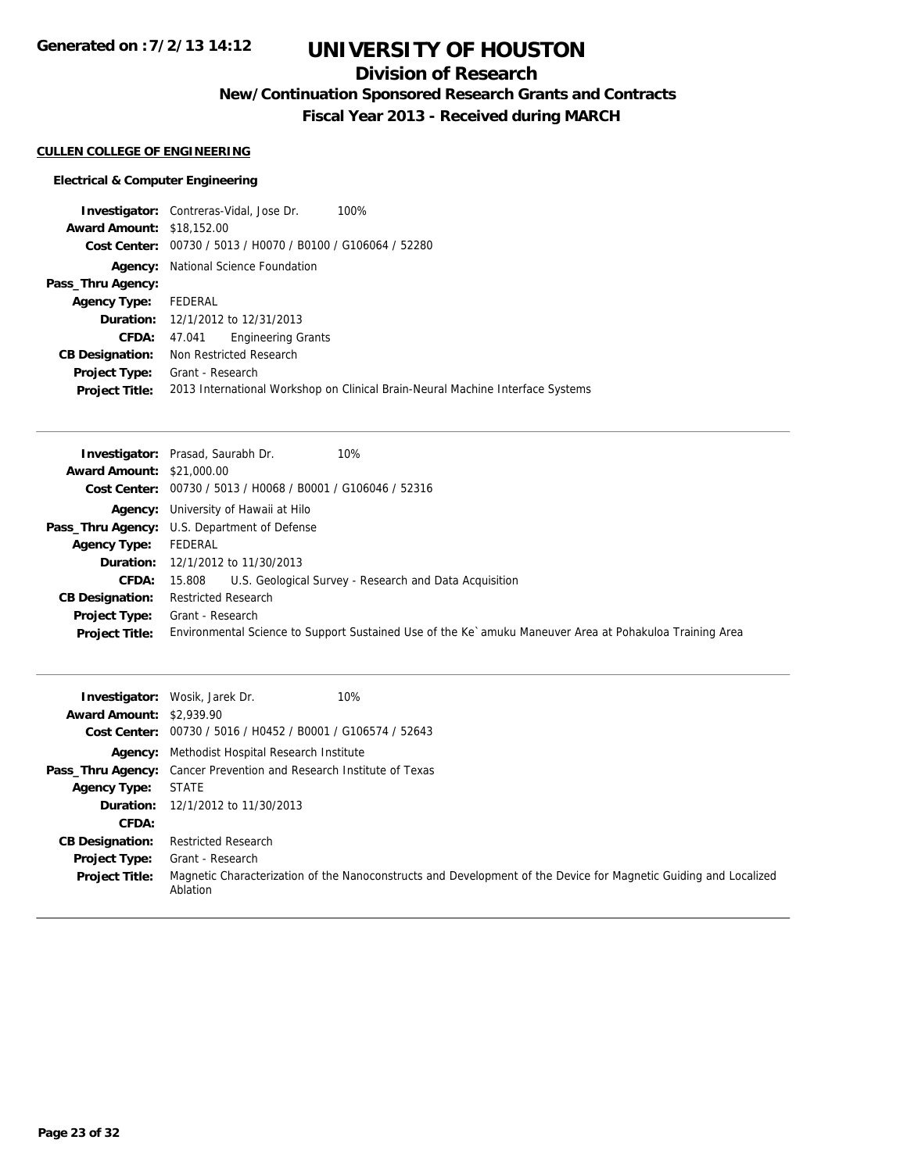## **Division of Research**

**New/Continuation Sponsored Research Grants and Contracts**

**Fiscal Year 2013 - Received during MARCH**

## **CULLEN COLLEGE OF ENGINEERING**

## **Electrical & Computer Engineering**

|                                  | <b>Investigator:</b> Contreras-Vidal, Jose Dr. |                           | 100%                                                                           |
|----------------------------------|------------------------------------------------|---------------------------|--------------------------------------------------------------------------------|
| <b>Award Amount: \$18,152.00</b> |                                                |                           |                                                                                |
|                                  |                                                |                           | Cost Center: 00730 / 5013 / H0070 / B0100 / G106064 / 52280                    |
| Agency:                          | National Science Foundation                    |                           |                                                                                |
| Pass_Thru Agency:                |                                                |                           |                                                                                |
| <b>Agency Type:</b>              | FEDERAL                                        |                           |                                                                                |
|                                  | <b>Duration:</b> 12/1/2012 to 12/31/2013       |                           |                                                                                |
| <b>CFDA:</b>                     | 47.041                                         | <b>Engineering Grants</b> |                                                                                |
| <b>CB Designation:</b>           | Non Restricted Research                        |                           |                                                                                |
| <b>Project Type:</b>             | Grant - Research                               |                           |                                                                                |
| <b>Project Title:</b>            |                                                |                           | 2013 International Workshop on Clinical Brain-Neural Machine Interface Systems |
|                                  |                                                |                           |                                                                                |

| Investigator: Prasad, Saurabh Dr.<br>10%                                                                |
|---------------------------------------------------------------------------------------------------------|
| <b>Award Amount: \$21,000.00</b>                                                                        |
| Cost Center: 00730 / 5013 / H0068 / B0001 / G106046 / 52316                                             |
| <b>Agency:</b> University of Hawaii at Hilo                                                             |
| <b>Pass_Thru Agency:</b> U.S. Department of Defense                                                     |
| FEDERAL                                                                                                 |
| <b>Duration:</b> 12/1/2012 to 11/30/2013                                                                |
| U.S. Geological Survey - Research and Data Acquisition<br>15.808                                        |
| <b>Restricted Research</b>                                                                              |
| Grant - Research                                                                                        |
| Environmental Science to Support Sustained Use of the Ke`amuku Maneuver Area at Pohakuloa Training Area |
|                                                                                                         |

|                                 | 10%<br><b>Investigator:</b> Wosik, Jarek Dr.                                                                                 |
|---------------------------------|------------------------------------------------------------------------------------------------------------------------------|
| <b>Award Amount: \$2,939.90</b> |                                                                                                                              |
|                                 | Cost Center: 00730 / 5016 / H0452 / B0001 / G106574 / 52643                                                                  |
|                                 | <b>Agency:</b> Methodist Hospital Research Institute                                                                         |
|                                 | <b>Pass_Thru Agency:</b> Cancer Prevention and Research Institute of Texas                                                   |
| <b>Agency Type:</b>             | <b>STATE</b>                                                                                                                 |
|                                 | <b>Duration:</b> 12/1/2012 to 11/30/2013                                                                                     |
| CFDA:                           |                                                                                                                              |
| <b>CB Designation:</b>          | <b>Restricted Research</b>                                                                                                   |
| <b>Project Type:</b>            | Grant - Research                                                                                                             |
| <b>Project Title:</b>           | Magnetic Characterization of the Nanoconstructs and Development of the Device for Magnetic Guiding and Localized<br>Ablation |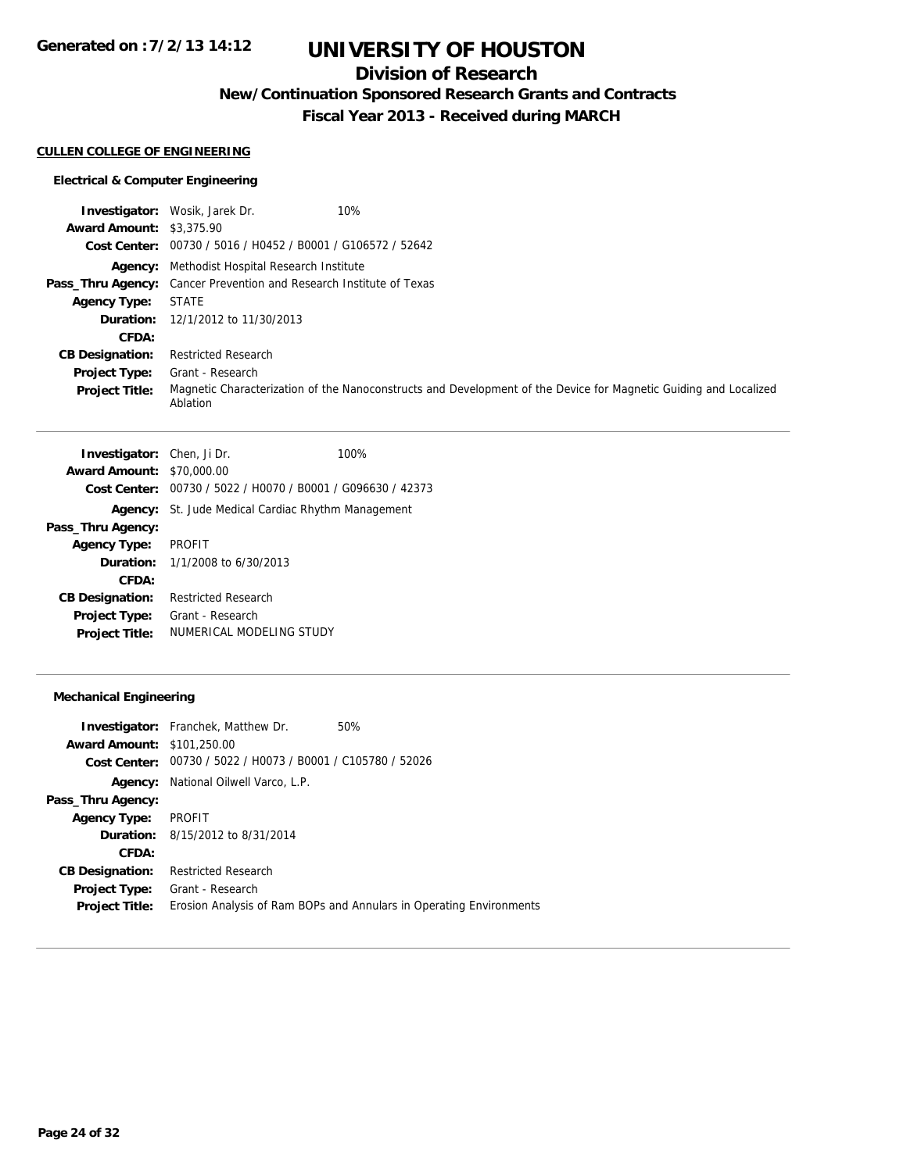## **Division of Research**

**New/Continuation Sponsored Research Grants and Contracts**

**Fiscal Year 2013 - Received during MARCH**

#### **CULLEN COLLEGE OF ENGINEERING**

## **Electrical & Computer Engineering**

|                                 | <b>Investigator:</b> Wosik, Jarek Dr.<br>10%                                                                                 |
|---------------------------------|------------------------------------------------------------------------------------------------------------------------------|
| <b>Award Amount: \$3,375.90</b> |                                                                                                                              |
|                                 | Cost Center: 00730 / 5016 / H0452 / B0001 / G106572 / 52642                                                                  |
|                                 | <b>Agency:</b> Methodist Hospital Research Institute                                                                         |
|                                 | <b>Pass_Thru Agency:</b> Cancer Prevention and Research Institute of Texas                                                   |
| <b>Agency Type:</b>             | <b>STATE</b>                                                                                                                 |
|                                 | <b>Duration:</b> 12/1/2012 to 11/30/2013                                                                                     |
| CFDA:                           |                                                                                                                              |
| <b>CB Designation:</b>          | <b>Restricted Research</b>                                                                                                   |
| <b>Project Type:</b>            | Grant - Research                                                                                                             |
| <b>Project Title:</b>           | Magnetic Characterization of the Nanoconstructs and Development of the Device for Magnetic Guiding and Localized<br>Ablation |

| <b>Investigator:</b> Chen, Ji Dr. |                                                             | 100% |
|-----------------------------------|-------------------------------------------------------------|------|
| <b>Award Amount: \$70,000.00</b>  |                                                             |      |
|                                   | Cost Center: 00730 / 5022 / H0070 / B0001 / G096630 / 42373 |      |
|                                   | <b>Agency:</b> St. Jude Medical Cardiac Rhythm Management   |      |
| Pass_Thru Agency:                 |                                                             |      |
| <b>Agency Type:</b>               | <b>PROFIT</b>                                               |      |
|                                   | <b>Duration:</b> $1/1/2008$ to $6/30/2013$                  |      |
| CFDA:                             |                                                             |      |
| <b>CB Designation:</b>            | <b>Restricted Research</b>                                  |      |
| <b>Project Type:</b>              | Grant - Research                                            |      |
| <b>Project Title:</b>             | NUMERICAL MODELING STUDY                                    |      |
|                                   |                                                             |      |

## **Mechanical Engineering**

|                                   | <b>Investigator:</b> Franchek, Matthew Dr.                  | 50%                                                                 |
|-----------------------------------|-------------------------------------------------------------|---------------------------------------------------------------------|
| <b>Award Amount: \$101,250.00</b> |                                                             |                                                                     |
|                                   | Cost Center: 00730 / 5022 / H0073 / B0001 / C105780 / 52026 |                                                                     |
| Agency:                           | National Oilwell Varco, L.P.                                |                                                                     |
| Pass_Thru Agency:                 |                                                             |                                                                     |
| <b>Agency Type:</b>               | PROFIT                                                      |                                                                     |
|                                   | <b>Duration:</b> 8/15/2012 to 8/31/2014                     |                                                                     |
| CFDA:                             |                                                             |                                                                     |
| <b>CB Designation:</b>            | <b>Restricted Research</b>                                  |                                                                     |
| <b>Project Type:</b>              | Grant - Research                                            |                                                                     |
| <b>Project Title:</b>             |                                                             | Erosion Analysis of Ram BOPs and Annulars in Operating Environments |
|                                   |                                                             |                                                                     |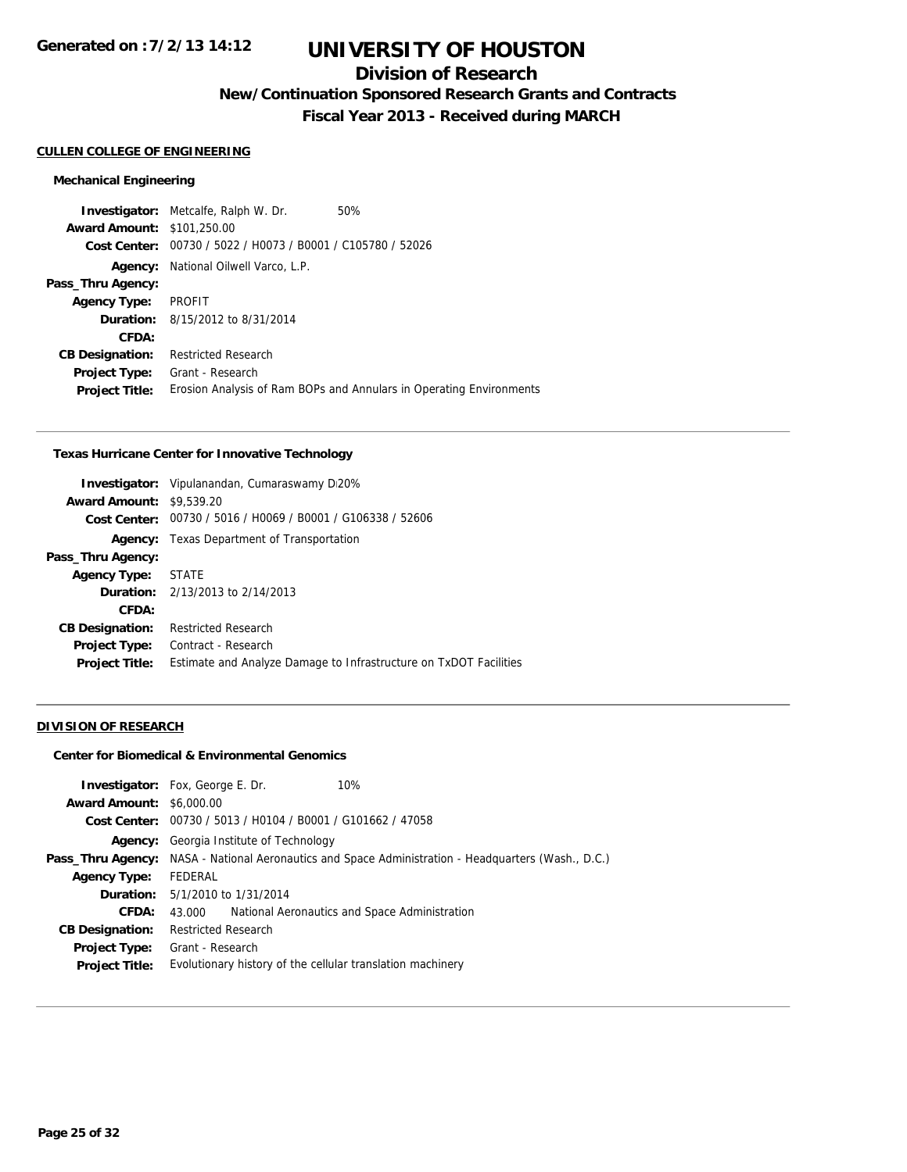## **Division of Research**

**New/Continuation Sponsored Research Grants and Contracts**

**Fiscal Year 2013 - Received during MARCH**

### **CULLEN COLLEGE OF ENGINEERING**

#### **Mechanical Engineering**

**Investigator:** Metcalfe, Ralph W. Dr. 50% **Award Amount:** \$101,250.00 **Cost Center:** 00730 / 5022 / H0073 / B0001 / C105780 / 52026 **Agency:** National Oilwell Varco, L.P. **Pass\_Thru Agency: Agency Type:** PROFIT **Duration:** 8/15/2012 to 8/31/2014 **CFDA: CB Designation:** Restricted Research **Project Type:** Grant - Research **Project Title:** Erosion Analysis of Ram BOPs and Annulars in Operating Environments

#### **Texas Hurricane Center for Innovative Technology**

|                                 | <b>Investigator:</b> Vipulanandan, Cumaraswamy D20%               |
|---------------------------------|-------------------------------------------------------------------|
| <b>Award Amount: \$9,539.20</b> |                                                                   |
|                                 | Cost Center: 00730 / 5016 / H0069 / B0001 / G106338 / 52606       |
| Agency:                         | Texas Department of Transportation                                |
| Pass_Thru Agency:               |                                                                   |
| <b>Agency Type:</b>             | STATE                                                             |
|                                 | <b>Duration:</b> $2/13/2013$ to $2/14/2013$                       |
| CFDA:                           |                                                                   |
| <b>CB Designation:</b>          | <b>Restricted Research</b>                                        |
| <b>Project Type:</b>            | Contract - Research                                               |
| <b>Project Title:</b>           | Estimate and Analyze Damage to Infrastructure on TxDOT Facilities |
|                                 |                                                                   |

#### **DIVISION OF RESEARCH**

#### **Center for Biomedical & Environmental Genomics**

|                                 | 10%<br><b>Investigator:</b> Fox, George E. Dr.                                                             |
|---------------------------------|------------------------------------------------------------------------------------------------------------|
| <b>Award Amount: \$6,000.00</b> |                                                                                                            |
|                                 | Cost Center: 00730 / 5013 / H0104 / B0001 / G101662 / 47058                                                |
| Agency:                         | Georgia Institute of Technology                                                                            |
|                                 | <b>Pass_Thru Agency:</b> NASA - National Aeronautics and Space Administration - Headquarters (Wash., D.C.) |
| <b>Agency Type:</b>             | FEDERAL                                                                                                    |
|                                 | <b>Duration:</b> 5/1/2010 to 1/31/2014                                                                     |
| CFDA:                           | National Aeronautics and Space Administration<br>43.000                                                    |
| <b>CB Designation:</b>          | <b>Restricted Research</b>                                                                                 |
| <b>Project Type:</b>            | Grant - Research                                                                                           |
| <b>Project Title:</b>           | Evolutionary history of the cellular translation machinery                                                 |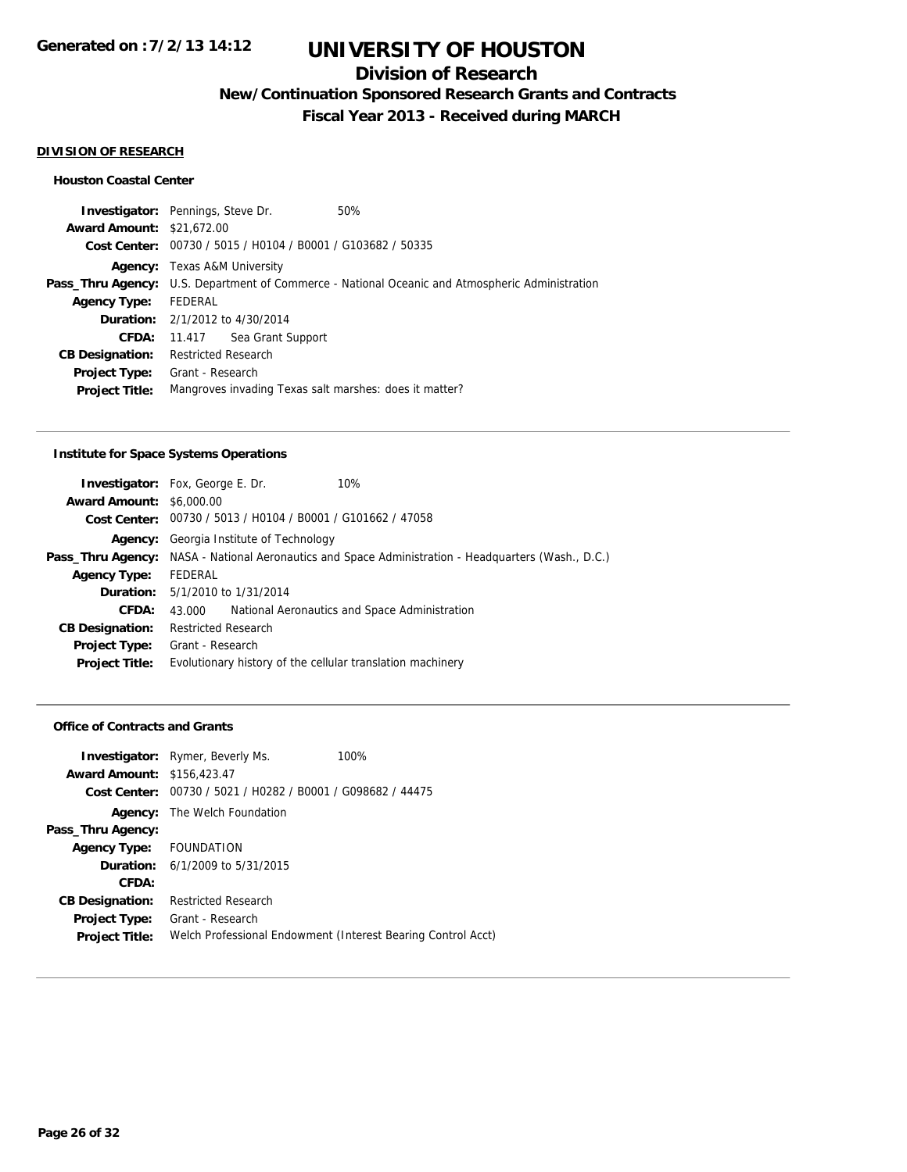## **Division of Research**

**New/Continuation Sponsored Research Grants and Contracts**

**Fiscal Year 2013 - Received during MARCH**

#### **DIVISION OF RESEARCH**

### **Houston Coastal Center**

**Investigator:** Pennings, Steve Dr. 50% **Award Amount:** \$21,672.00 **Cost Center:** 00730 / 5015 / H0104 / B0001 / G103682 / 50335 **Agency:** Texas A&M University Pass\_Thru Agency: U.S. Department of Commerce - National Oceanic and Atmospheric Administration **Agency Type:** FEDERAL **Duration:** 2/1/2012 to 4/30/2014 **CFDA:** 11.417 Sea Grant Support **CB Designation:** Restricted Research **Project Type:** Grant - Research **Project Title:** Mangroves invading Texas salt marshes: does it matter?

#### **Institute for Space Systems Operations**

|                                 | <b>Investigator:</b> Fox, George E. Dr.                     | 10%                                                                                                 |
|---------------------------------|-------------------------------------------------------------|-----------------------------------------------------------------------------------------------------|
| <b>Award Amount: \$6,000.00</b> |                                                             |                                                                                                     |
|                                 | Cost Center: 00730 / 5013 / H0104 / B0001 / G101662 / 47058 |                                                                                                     |
|                                 | <b>Agency:</b> Georgia Institute of Technology              |                                                                                                     |
|                                 |                                                             | Pass_Thru Agency: NASA - National Aeronautics and Space Administration - Headquarters (Wash., D.C.) |
| <b>Agency Type:</b>             | FEDERAL                                                     |                                                                                                     |
|                                 | <b>Duration:</b> 5/1/2010 to 1/31/2014                      |                                                                                                     |
| CFDA:                           | 43.000                                                      | National Aeronautics and Space Administration                                                       |
| <b>CB Designation:</b>          | <b>Restricted Research</b>                                  |                                                                                                     |
|                                 | <b>Project Type:</b> Grant - Research                       |                                                                                                     |
| <b>Project Title:</b>           | Evolutionary history of the cellular translation machinery  |                                                                                                     |
|                                 |                                                             |                                                                                                     |

#### **Office of Contracts and Grants**

|                                   | <b>Investigator:</b> Rymer, Beverly Ms.                      | 100% |
|-----------------------------------|--------------------------------------------------------------|------|
| <b>Award Amount: \$156,423.47</b> |                                                              |      |
| Cost Center:                      | 00730 / 5021 / H0282 / B0001 / G098682 / 44475               |      |
|                                   | <b>Agency:</b> The Welch Foundation                          |      |
| Pass_Thru Agency:                 |                                                              |      |
| Agency Type: FOUNDATION           |                                                              |      |
|                                   | <b>Duration:</b> $6/1/2009$ to $5/31/2015$                   |      |
| CFDA:                             |                                                              |      |
| <b>CB Designation:</b>            | <b>Restricted Research</b>                                   |      |
| <b>Project Type:</b>              | Grant - Research                                             |      |
| <b>Project Title:</b>             | Welch Professional Endowment (Interest Bearing Control Acct) |      |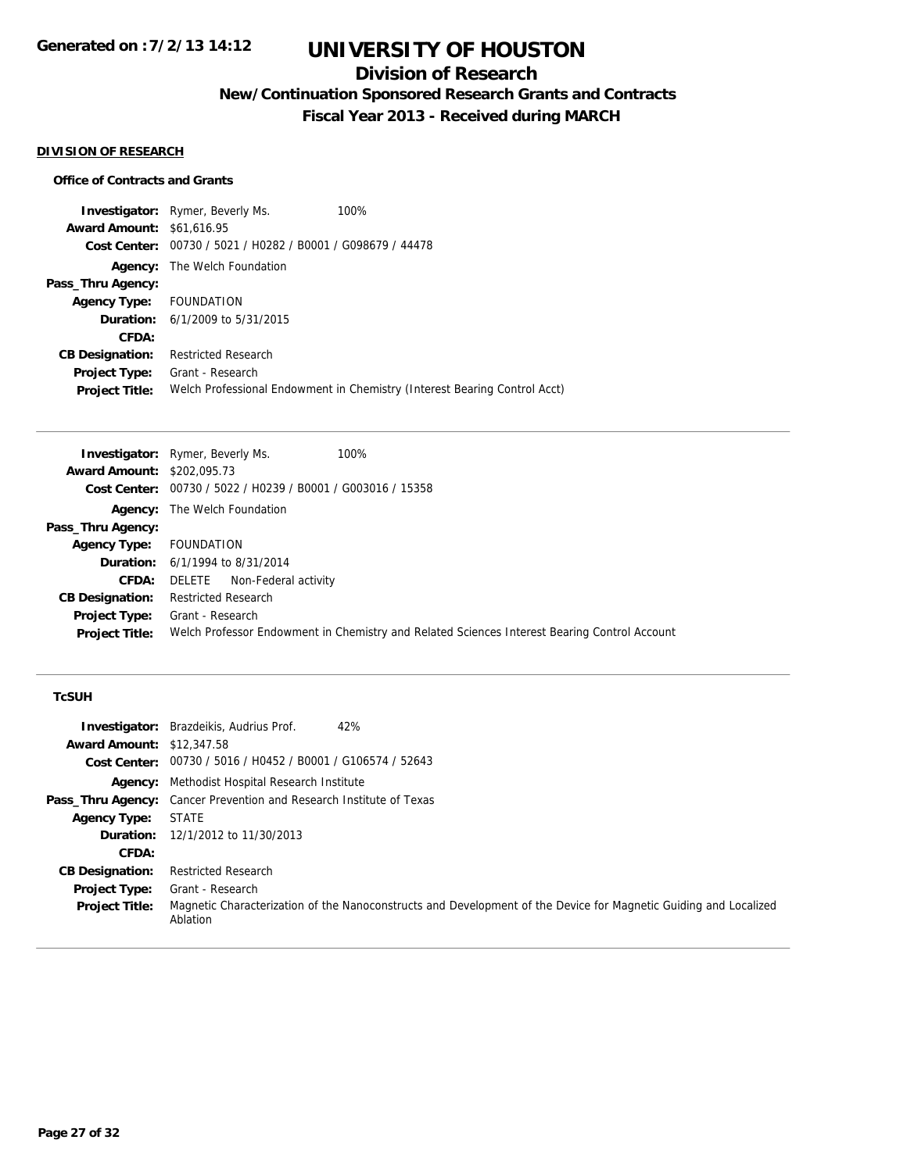## **Division of Research**

**New/Continuation Sponsored Research Grants and Contracts**

**Fiscal Year 2013 - Received during MARCH**

### **DIVISION OF RESEARCH**

### **Office of Contracts and Grants**

**Investigator:** Rymer, Beverly Ms. 100% **Award Amount:** \$61,616.95 **Cost Center:** 00730 / 5021 / H0282 / B0001 / G098679 / 44478 **Agency:** The Welch Foundation **Pass\_Thru Agency: Agency Type:** FOUNDATION **Duration:** 6/1/2009 to 5/31/2015 **CFDA: CB Designation:** Restricted Research **Project Type:** Grant - Research **Project Title:** Welch Professional Endowment in Chemistry (Interest Bearing Control Acct)

|                                   | <b>Investigator:</b> Rymer, Beverly Ms.<br>100%                                              |
|-----------------------------------|----------------------------------------------------------------------------------------------|
| <b>Award Amount: \$202,095.73</b> |                                                                                              |
|                                   | <b>Cost Center:</b> $00730 / 5022 / 10239 / 80001 / 6003016 / 15358$                         |
|                                   | <b>Agency:</b> The Welch Foundation                                                          |
| Pass_Thru Agency:                 |                                                                                              |
| <b>Agency Type:</b>               | FOUNDATION                                                                                   |
|                                   | <b>Duration:</b> 6/1/1994 to 8/31/2014                                                       |
| CFDA:                             | Non-Federal activity<br>DELETE                                                               |
| <b>CB Designation:</b>            | <b>Restricted Research</b>                                                                   |
| <b>Project Type:</b>              | Grant - Research                                                                             |
| <b>Project Title:</b>             | Welch Professor Endowment in Chemistry and Related Sciences Interest Bearing Control Account |

### **TcSUH**

|                                  | <b>Investigator:</b> Brazdeikis, Audrius Prof.<br>42%                                                                        |
|----------------------------------|------------------------------------------------------------------------------------------------------------------------------|
| <b>Award Amount: \$12,347.58</b> |                                                                                                                              |
|                                  | Cost Center: 00730 / 5016 / H0452 / B0001 / G106574 / 52643                                                                  |
|                                  | <b>Agency:</b> Methodist Hospital Research Institute                                                                         |
|                                  | <b>Pass_Thru Agency:</b> Cancer Prevention and Research Institute of Texas                                                   |
| <b>Agency Type:</b>              | <b>STATE</b>                                                                                                                 |
|                                  | <b>Duration:</b> 12/1/2012 to 11/30/2013                                                                                     |
| CFDA:                            |                                                                                                                              |
| <b>CB Designation:</b>           | <b>Restricted Research</b>                                                                                                   |
| <b>Project Type:</b>             | Grant - Research                                                                                                             |
| <b>Project Title:</b>            | Magnetic Characterization of the Nanoconstructs and Development of the Device for Magnetic Guiding and Localized<br>Ablation |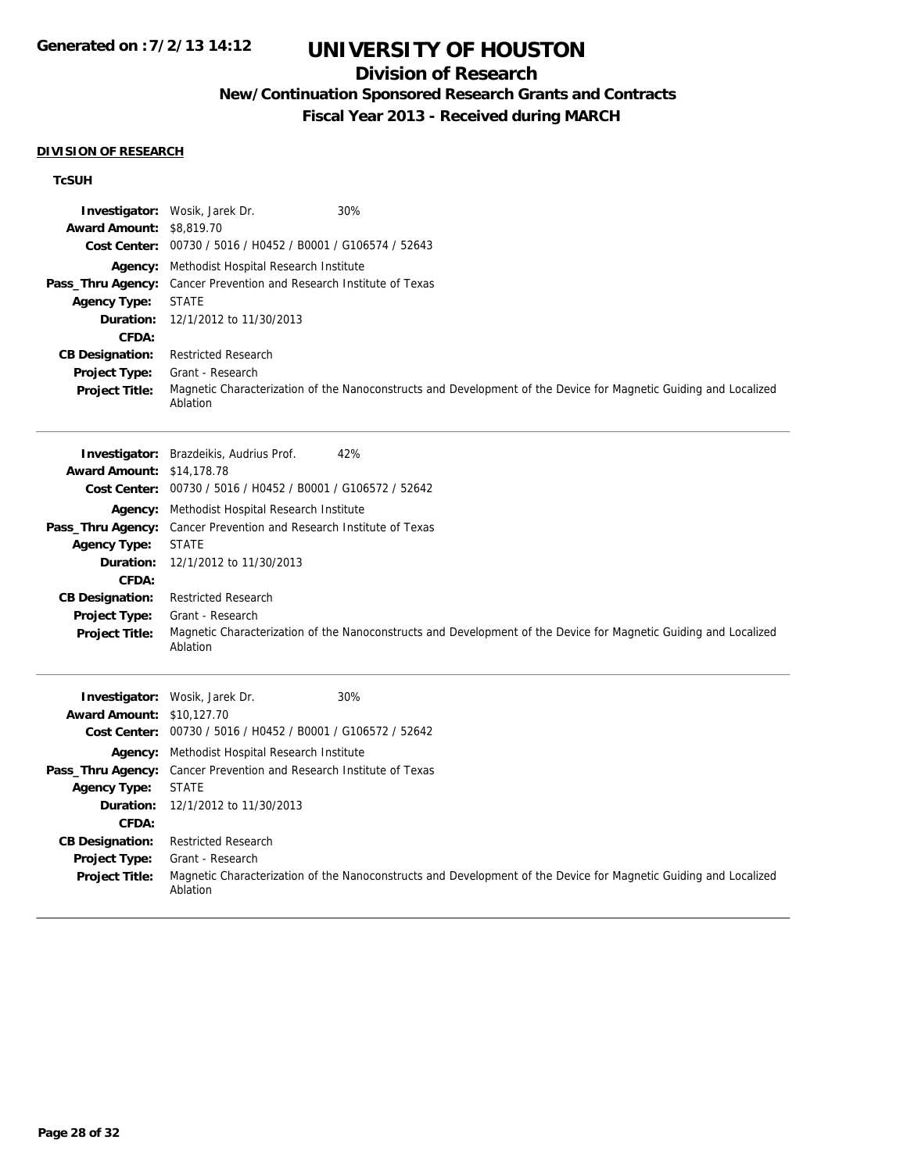## **Division of Research**

## **New/Continuation Sponsored Research Grants and Contracts**

**Fiscal Year 2013 - Received during MARCH**

#### **DIVISION OF RESEARCH**

## **TcSUH**

|                                  | <b>Investigator:</b> Wosik, Jarek Dr.<br>30%                                                                                 |
|----------------------------------|------------------------------------------------------------------------------------------------------------------------------|
| <b>Award Amount: \$8,819.70</b>  |                                                                                                                              |
|                                  | Cost Center: 00730 / 5016 / H0452 / B0001 / G106574 / 52643                                                                  |
|                                  | <b>Agency:</b> Methodist Hospital Research Institute                                                                         |
| Pass_Thru Agency:                | Cancer Prevention and Research Institute of Texas                                                                            |
| <b>Agency Type:</b>              | <b>STATE</b>                                                                                                                 |
| Duration:                        | 12/1/2012 to 11/30/2013                                                                                                      |
| CFDA:                            |                                                                                                                              |
| <b>CB Designation:</b>           | <b>Restricted Research</b>                                                                                                   |
| Project Type:                    | Grant - Research                                                                                                             |
| <b>Project Title:</b>            | Magnetic Characterization of the Nanoconstructs and Development of the Device for Magnetic Guiding and Localized<br>Ablation |
|                                  | 42%<br><b>Investigator:</b> Brazdeikis, Audrius Prof.                                                                        |
| <b>Award Amount: \$14,178.78</b> |                                                                                                                              |
|                                  | Cost Center: 00730 / 5016 / H0452 / B0001 / G106572 / 52642                                                                  |
|                                  | <b>Agency:</b> Methodist Hospital Research Institute                                                                         |
| Pass_Thru Agency:                | Cancer Prevention and Research Institute of Texas                                                                            |
| <b>Agency Type:</b>              | <b>STATE</b>                                                                                                                 |
| Duration:                        | 12/1/2012 to 11/30/2013                                                                                                      |
| CFDA:                            |                                                                                                                              |
| <b>CB Designation:</b>           | <b>Restricted Research</b>                                                                                                   |
| Project Type:                    | Grant - Research                                                                                                             |
| <b>Project Title:</b>            | Magnetic Characterization of the Nanoconstructs and Development of the Device for Magnetic Guiding and Localized<br>Ablation |
|                                  | 30%<br><b>Investigator:</b> Wosik, Jarek Dr.                                                                                 |
| <b>Award Amount: \$10.127.70</b> |                                                                                                                              |
|                                  | Cost Center: 00730 / 5016 / H0452 / B0001 / G106572 / 52642                                                                  |
|                                  | <b>Agency:</b> Methodist Hospital Research Institute                                                                         |
| Pass_Thru Agency:                | Cancer Prevention and Research Institute of Texas                                                                            |
| <b>Agency Type:</b>              | <b>STATE</b>                                                                                                                 |
| Duration:                        | 12/1/2012 to 11/30/2013                                                                                                      |
| CFDA:                            |                                                                                                                              |
| <b>CB Designation:</b>           | <b>Restricted Research</b>                                                                                                   |
| Project Type:                    | Grant - Research                                                                                                             |
| <b>Project Title:</b>            | Magnetic Characterization of the Nanoconstructs and Development of the Device for Magnetic Guiding and Localized<br>Ablation |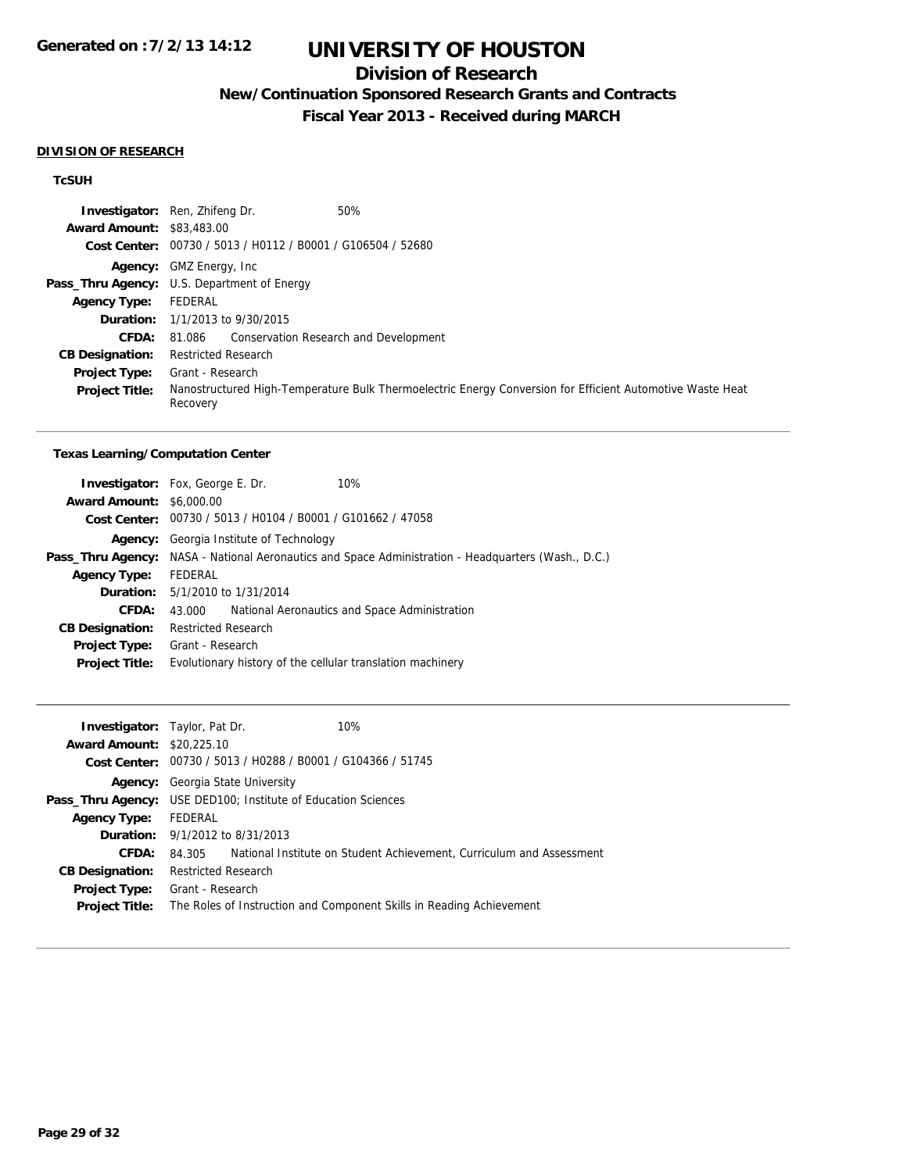## **Division of Research**

**New/Continuation Sponsored Research Grants and Contracts**

**Fiscal Year 2013 - Received during MARCH**

#### **DIVISION OF RESEARCH**

## **TcSUH**

|                                  | 50%<br><b>Investigator:</b> Ren, Zhifeng Dr.                                                                          |
|----------------------------------|-----------------------------------------------------------------------------------------------------------------------|
| <b>Award Amount: \$83,483,00</b> |                                                                                                                       |
|                                  | Cost Center: 00730 / 5013 / H0112 / B0001 / G106504 / 52680                                                           |
|                                  | <b>Agency:</b> GMZ Energy, Inc.                                                                                       |
|                                  | <b>Pass_Thru Agency:</b> U.S. Department of Energy                                                                    |
| <b>Agency Type:</b>              | FEDERAL                                                                                                               |
|                                  | <b>Duration:</b> 1/1/2013 to 9/30/2015                                                                                |
| <b>CFDA:</b>                     | 81.086 Conservation Research and Development                                                                          |
| <b>CB Designation:</b>           | <b>Restricted Research</b>                                                                                            |
| <b>Project Type:</b>             | Grant - Research                                                                                                      |
| <b>Project Title:</b>            | Nanostructured High-Temperature Bulk Thermoelectric Energy Conversion for Efficient Automotive Waste Heat<br>Recovery |

#### **Texas Learning/Computation Center**

|                                 | <b>Investigator:</b> Fox, George E. Dr.                     | 10%                                                                                                        |  |
|---------------------------------|-------------------------------------------------------------|------------------------------------------------------------------------------------------------------------|--|
| <b>Award Amount: \$6,000.00</b> |                                                             |                                                                                                            |  |
|                                 | Cost Center: 00730 / 5013 / H0104 / B0001 / G101662 / 47058 |                                                                                                            |  |
|                                 | <b>Agency:</b> Georgia Institute of Technology              |                                                                                                            |  |
|                                 |                                                             | <b>Pass_Thru Agency:</b> NASA - National Aeronautics and Space Administration - Headquarters (Wash., D.C.) |  |
| <b>Agency Type:</b>             | FEDERAL                                                     |                                                                                                            |  |
|                                 | <b>Duration:</b> 5/1/2010 to 1/31/2014                      |                                                                                                            |  |
| CFDA:                           | 43.000                                                      | National Aeronautics and Space Administration                                                              |  |
| <b>CB Designation:</b>          | <b>Restricted Research</b>                                  |                                                                                                            |  |
| <b>Project Type:</b>            | Grant - Research                                            |                                                                                                            |  |
| <b>Project Title:</b>           |                                                             | Evolutionary history of the cellular translation machinery                                                 |  |
|                                 |                                                             |                                                                                                            |  |

| 10%<br><b>Investigator:</b> Taylor, Pat Dr.                                    |
|--------------------------------------------------------------------------------|
| <b>Award Amount: \$20,225.10</b>                                               |
| Cost Center: 00730 / 5013 / H0288 / B0001 / G104366 / 51745                    |
| <b>Agency:</b> Georgia State University                                        |
| Pass_Thru Agency: USE DED100; Institute of Education Sciences                  |
| FEDERAL                                                                        |
| <b>Duration:</b> $9/1/2012$ to $8/31/2013$                                     |
| National Institute on Student Achievement, Curriculum and Assessment<br>84.305 |
| <b>Restricted Research</b>                                                     |
| Grant - Research                                                               |
| The Roles of Instruction and Component Skills in Reading Achievement           |
|                                                                                |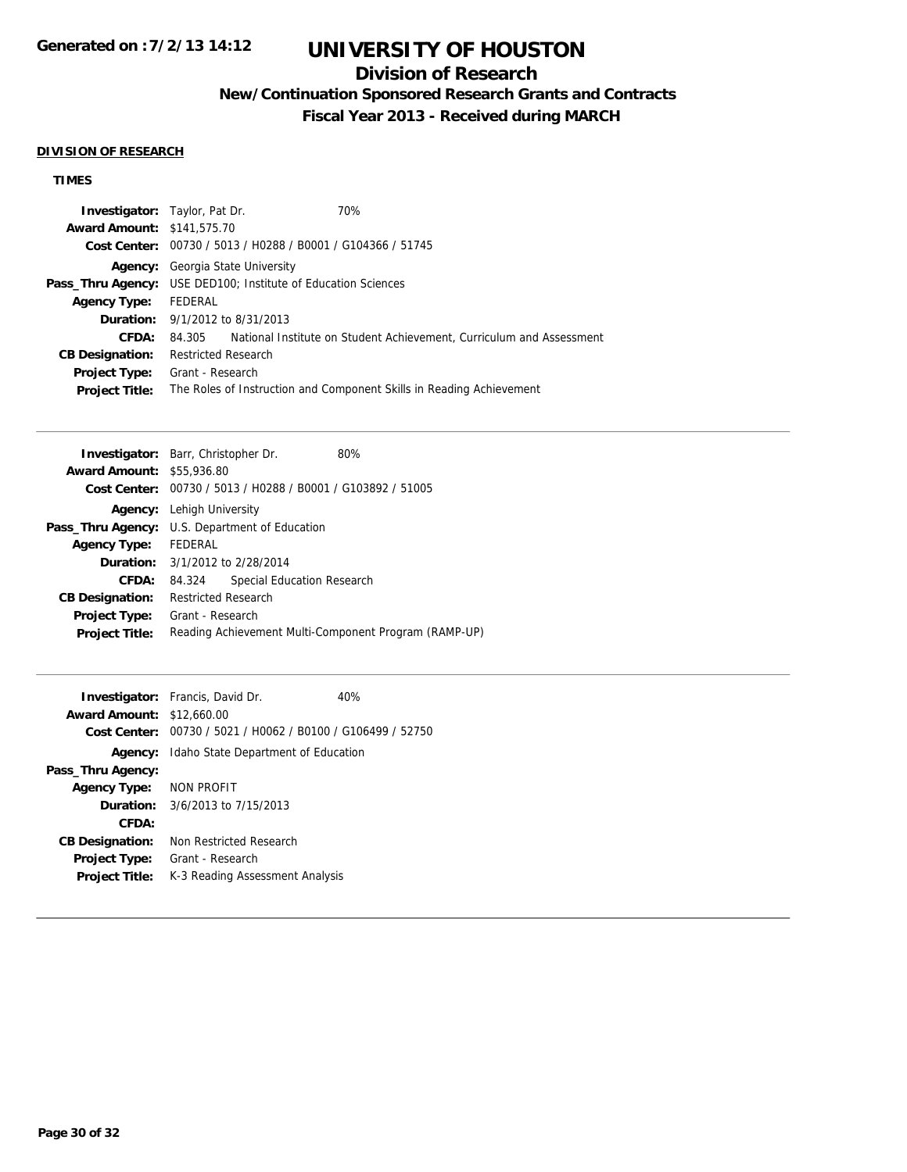## **Division of Research**

**New/Continuation Sponsored Research Grants and Contracts**

**Fiscal Year 2013 - Received during MARCH**

#### **DIVISION OF RESEARCH**

## **TIMES**

| <b>Investigator:</b> Taylor, Pat Dr. |                                                |                                             | 70%                                                                  |
|--------------------------------------|------------------------------------------------|---------------------------------------------|----------------------------------------------------------------------|
| <b>Award Amount: \$141,575.70</b>    |                                                |                                             |                                                                      |
| Cost Center:                         | 00730 / 5013 / H0288 / B0001 / G104366 / 51745 |                                             |                                                                      |
| Agency:                              |                                                | Georgia State University                    |                                                                      |
| Pass_Thru Agency:                    |                                                | USE DED100; Institute of Education Sciences |                                                                      |
| <b>Agency Type:</b>                  | FEDERAL                                        |                                             |                                                                      |
|                                      |                                                | <b>Duration:</b> 9/1/2012 to 8/31/2013      |                                                                      |
| CFDA:                                | 84.305                                         |                                             | National Institute on Student Achievement, Curriculum and Assessment |
| <b>CB Designation:</b>               | <b>Restricted Research</b>                     |                                             |                                                                      |
| Project Type:                        | Grant - Research                               |                                             |                                                                      |
| <b>Project Title:</b>                |                                                |                                             | The Roles of Instruction and Component Skills in Reading Achievement |

|                                  | <b>Investigator:</b> Barr, Christopher Dr.<br>80%           |  |
|----------------------------------|-------------------------------------------------------------|--|
| <b>Award Amount: \$55,936.80</b> |                                                             |  |
|                                  | Cost Center: 00730 / 5013 / H0288 / B0001 / G103892 / 51005 |  |
| Agency:                          | Lehigh University                                           |  |
|                                  | <b>Pass_Thru Agency:</b> U.S. Department of Education       |  |
| <b>Agency Type:</b>              | <b>FEDERAL</b>                                              |  |
|                                  | <b>Duration:</b> 3/1/2012 to 2/28/2014                      |  |
| <b>CFDA:</b>                     | Special Education Research<br>84.324                        |  |
| <b>CB Designation:</b>           | Restricted Research                                         |  |
| <b>Project Type:</b>             | Grant - Research                                            |  |
| <b>Project Title:</b>            | Reading Achievement Multi-Component Program (RAMP-UP)       |  |
|                                  |                                                             |  |

|                                  | <b>Investigator:</b> Francis, David Dr.                     | 40% |
|----------------------------------|-------------------------------------------------------------|-----|
| <b>Award Amount: \$12,660.00</b> |                                                             |     |
|                                  | Cost Center: 00730 / 5021 / H0062 / B0100 / G106499 / 52750 |     |
|                                  | <b>Agency:</b> Idaho State Department of Education          |     |
| Pass_Thru Agency:                |                                                             |     |
| <b>Agency Type:</b>              | NON PROFIT                                                  |     |
|                                  | <b>Duration:</b> $3/6/2013$ to $7/15/2013$                  |     |
| CFDA:                            |                                                             |     |
| <b>CB Designation:</b>           | Non Restricted Research                                     |     |
| <b>Project Type:</b>             | Grant - Research                                            |     |
| <b>Project Title:</b>            | K-3 Reading Assessment Analysis                             |     |
|                                  |                                                             |     |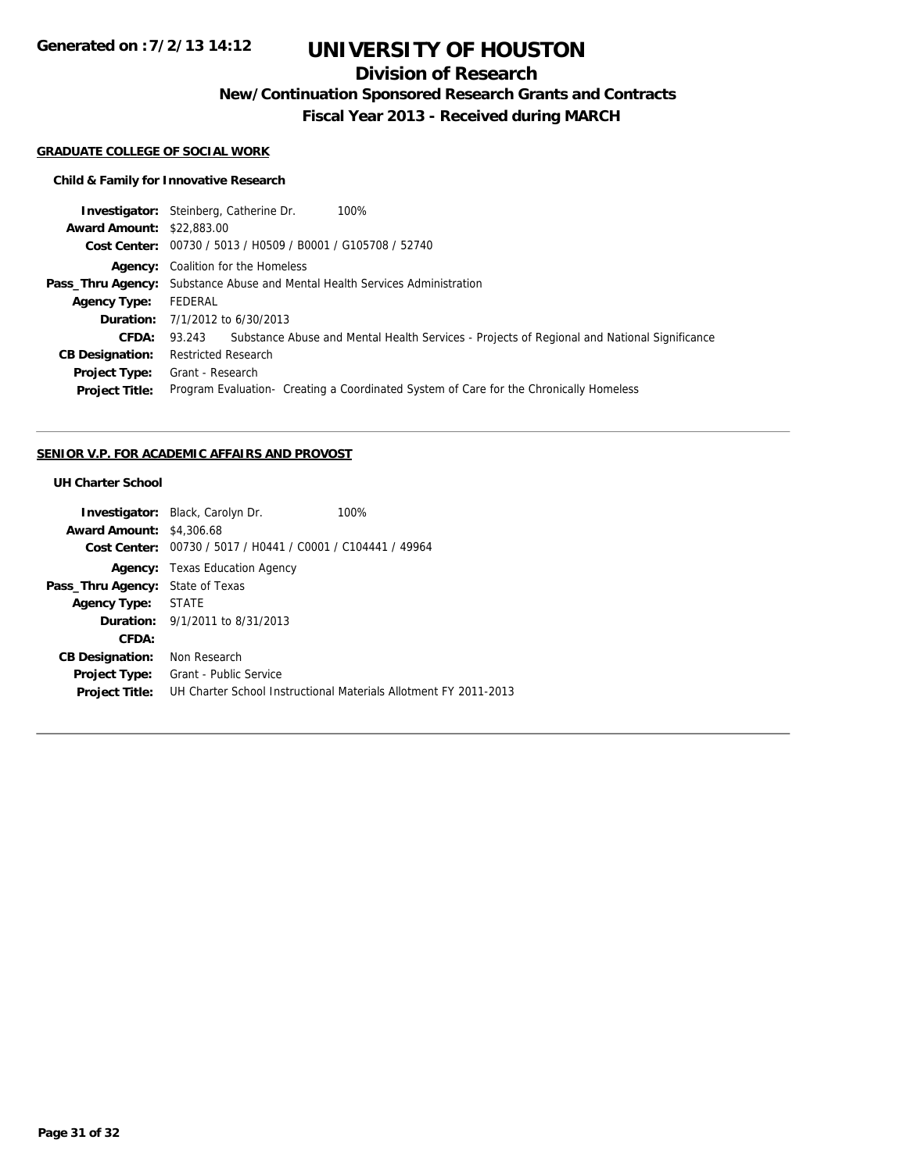**Generated on :7/2/13 14:12**

# **UNIVERSITY OF HOUSTON**

## **Division of Research**

**New/Continuation Sponsored Research Grants and Contracts**

**Fiscal Year 2013 - Received during MARCH**

#### **GRADUATE COLLEGE OF SOCIAL WORK**

## **Child & Family for Innovative Research**

| <b>Investigator:</b> Steinberg, Catherine Dr.<br>100%                                                           |
|-----------------------------------------------------------------------------------------------------------------|
| <b>Award Amount: \$22,883,00</b>                                                                                |
| Cost Center: 00730 / 5013 / H0509 / B0001 / G105708 / 52740                                                     |
| <b>Agency:</b> Coalition for the Homeless                                                                       |
| <b>Pass_Thru Agency:</b> Substance Abuse and Mental Health Services Administration                              |
| FEDERAL                                                                                                         |
| <b>Duration:</b> $7/1/2012$ to $6/30/2013$                                                                      |
| <b>CFDA:</b> 93.243 Substance Abuse and Mental Health Services - Projects of Regional and National Significance |
| <b>Restricted Research</b>                                                                                      |
| Grant - Research                                                                                                |
| Program Evaluation - Creating a Coordinated System of Care for the Chronically Homeless                         |
|                                                                                                                 |

#### **SENIOR V.P. FOR ACADEMIC AFFAIRS AND PROVOST**

## **UH Charter School**

|                                         | <b>Investigator:</b> Black, Carolyn Dr.                     | 100%                                                             |
|-----------------------------------------|-------------------------------------------------------------|------------------------------------------------------------------|
| <b>Award Amount: \$4,306.68</b>         |                                                             |                                                                  |
|                                         | Cost Center: 00730 / 5017 / H0441 / C0001 / C104441 / 49964 |                                                                  |
|                                         | <b>Agency:</b> Texas Education Agency                       |                                                                  |
| <b>Pass_Thru Agency:</b> State of Texas |                                                             |                                                                  |
| Agency Type: STATE                      |                                                             |                                                                  |
|                                         | <b>Duration:</b> 9/1/2011 to 8/31/2013                      |                                                                  |
| CFDA:                                   |                                                             |                                                                  |
| <b>CB Designation:</b>                  | Non Research                                                |                                                                  |
| Project Type:                           | Grant - Public Service                                      |                                                                  |
| <b>Project Title:</b>                   |                                                             | UH Charter School Instructional Materials Allotment FY 2011-2013 |